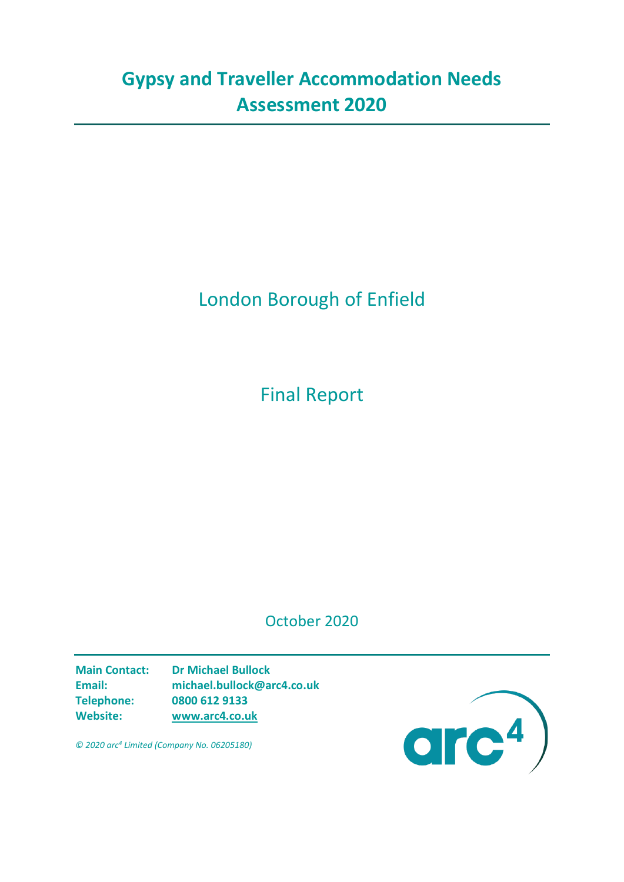# **Gypsy and Traveller Accommodation Needs Assessment 2020**

# London Borough of Enfield

Final Report

October 2020

**Main Contact: Dr Michael Bullock Email: michael.bullock@arc4.co.uk Telephone: 0800 612 9133 Website: [www.arc4.co.uk](http://www.arc4.co.uk/)**



*© 2020 arc4 Limited (Company No. 06205180)*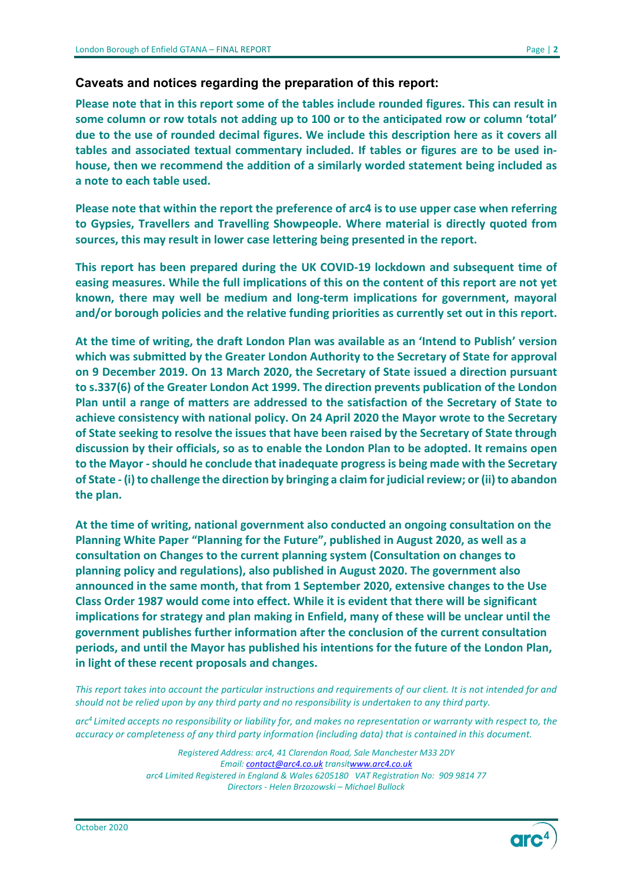#### **Caveats and notices regarding the preparation of this report:**

**Please note that in this report some of the tables include rounded figures. This can result in some column or row totals not adding up to 100 or to the anticipated row or column 'total' due to the use of rounded decimal figures. We include this description here as it covers all tables and associated textual commentary included. If tables or figures are to be used inhouse, then we recommend the addition of a similarly worded statement being included as a note to each table used.**

**Please note that within the report the preference of arc4 is to use upper case when referring to Gypsies, Travellers and Travelling Showpeople. Where material is directly quoted from sources, this may result in lower case lettering being presented in the report.**

**This report has been prepared during the UK COVID-19 lockdown and subsequent time of easing measures. While the full implications of this on the content of this report are not yet known, there may well be medium and long-term implications for government, mayoral and/or borough policies and the relative funding priorities as currently set out in this report.** 

**At the time of writing, the draft London Plan was available as an 'Intend to Publish' version which was submitted by the Greater London Authority to the Secretary of State for approval on 9 December 2019. On 13 March 2020, the Secretary of State issued a direction pursuant to s.337(6) of the Greater London Act 1999. The direction prevents publication of the London Plan until a range of matters are addressed to the satisfaction of the Secretary of State to achieve consistency with national policy. On 24 April 2020 the Mayor wrote to the Secretary of State seeking to resolve the issues that have been raised by the Secretary of State through discussion by their officials, so as to enable the London Plan to be adopted. It remains open to the Mayor -should he conclude that inadequate progress is being made with the Secretary of State - (i) to challenge the direction by bringing a claim for judicial review; or (ii) to abandon the plan.** 

**At the time of writing, national government also conducted an ongoing consultation on the Planning White Paper "Planning for the Future", published in August 2020, as well as a consultation on Changes to the current planning system (Consultation on changes to planning policy and regulations), also published in August 2020. The government also announced in the same month, that from 1 September 2020, extensive changes to the Use Class Order 1987 would come into effect. While it is evident that there will be significant implications for strategy and plan making in Enfield, many of these will be unclear until the government publishes further information after the conclusion of the current consultation periods, and until the Mayor has published his intentions for the future of the London Plan, in light of these recent proposals and changes.**

*This report takes into account the particular instructions and requirements of our client. It is not intended for and should not be relied upon by any third party and no responsibility is undertaken to any third party.*

*arc4 Limited accepts no responsibility or liability for, and makes no representation or warranty with respect to, the accuracy or completeness of any third party information (including data) that is contained in this document.*

> *Registered Address: arc4, 41 Clarendon Road, Sale Manchester M33 2DY Email: [contact@arc4.co.uk](mailto:contact@arc4.co.uk) transi[twww.arc4.co.uk](http://www.arc4.co.uk/) arc4 Limited Registered in England & Wales 6205180 VAT Registration No: 909 9814 77 Directors - Helen Brzozowski – Michael Bullock*

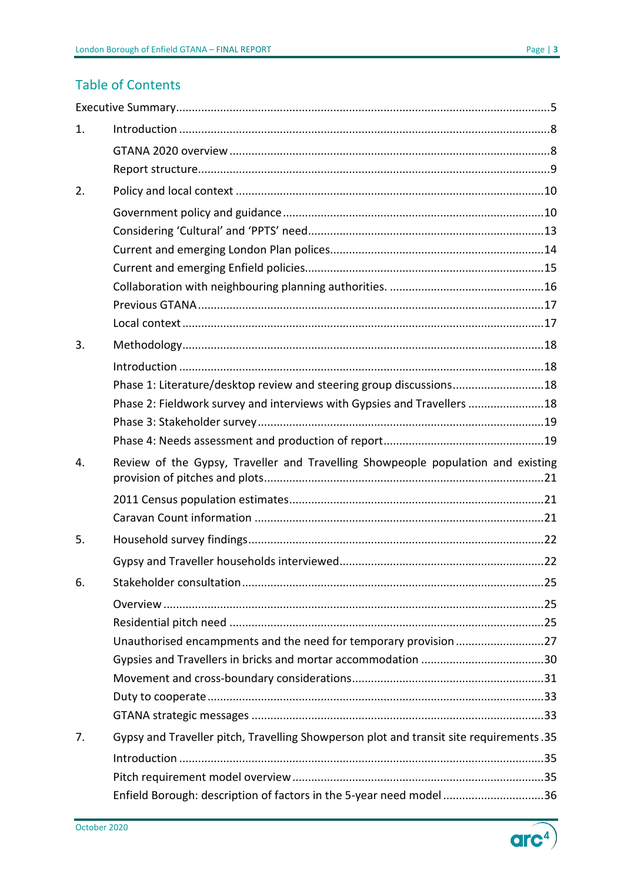## **Table of Contents**

| 1. |                                                                                        |
|----|----------------------------------------------------------------------------------------|
|    |                                                                                        |
|    |                                                                                        |
| 2. |                                                                                        |
|    |                                                                                        |
|    |                                                                                        |
|    |                                                                                        |
|    |                                                                                        |
|    |                                                                                        |
|    |                                                                                        |
|    |                                                                                        |
| 3. |                                                                                        |
|    |                                                                                        |
|    | Phase 1: Literature/desktop review and steering group discussions18                    |
|    | Phase 2: Fieldwork survey and interviews with Gypsies and Travellers  18               |
|    |                                                                                        |
|    |                                                                                        |
| 4. | Review of the Gypsy, Traveller and Travelling Showpeople population and existing       |
|    |                                                                                        |
|    |                                                                                        |
| 5. |                                                                                        |
|    |                                                                                        |
| 6. |                                                                                        |
|    |                                                                                        |
|    |                                                                                        |
|    | Unauthorised encampments and the need for temporary provision 27                       |
|    |                                                                                        |
|    |                                                                                        |
|    |                                                                                        |
|    |                                                                                        |
| 7. | Gypsy and Traveller pitch, Travelling Showperson plot and transit site requirements.35 |
|    |                                                                                        |
|    |                                                                                        |
|    | Enfield Borough: description of factors in the 5-year need model 36                    |

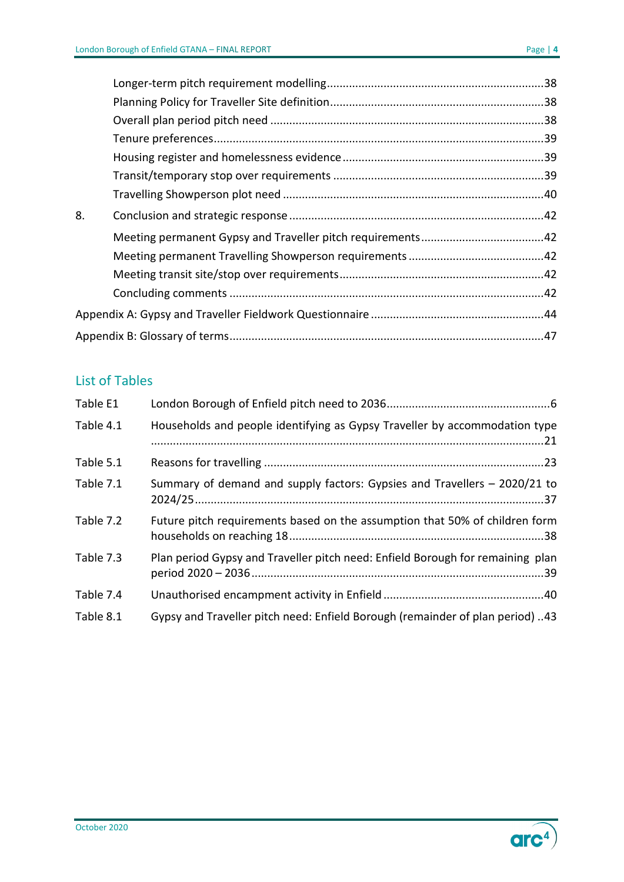| 8. |  |
|----|--|
|    |  |
|    |  |
|    |  |
|    |  |
|    |  |
|    |  |
|    |  |

## List of Tables

| Table E1  |                                                                                |
|-----------|--------------------------------------------------------------------------------|
| Table 4.1 | Households and people identifying as Gypsy Traveller by accommodation type     |
| Table 5.1 |                                                                                |
| Table 7.1 | Summary of demand and supply factors: Gypsies and Travellers – 2020/21 to      |
| Table 7.2 | Future pitch requirements based on the assumption that 50% of children form    |
| Table 7.3 | Plan period Gypsy and Traveller pitch need: Enfield Borough for remaining plan |
| Table 7.4 |                                                                                |
| Table 8.1 | Gypsy and Traveller pitch need: Enfield Borough (remainder of plan period) 43  |

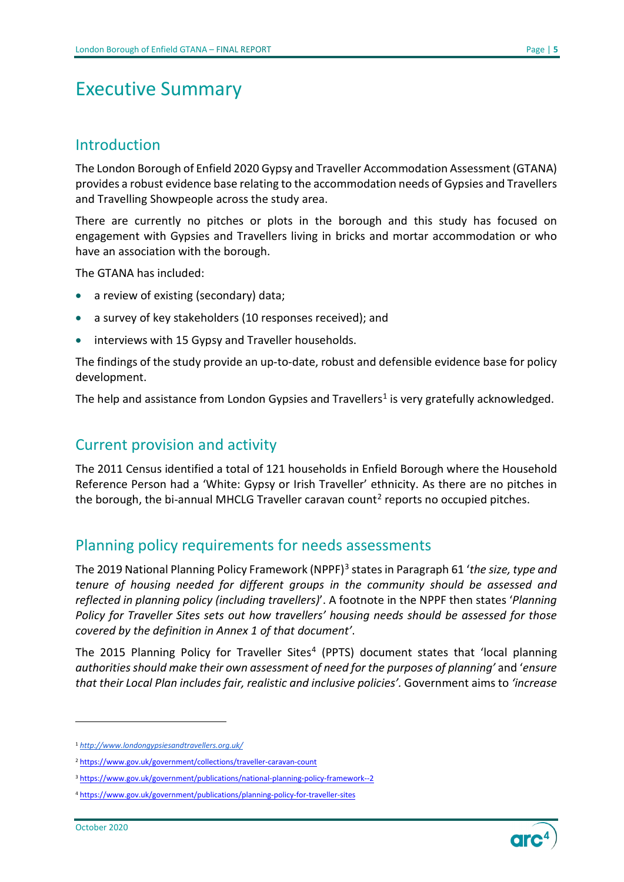## <span id="page-4-0"></span>Executive Summary

#### Introduction

The London Borough of Enfield 2020 Gypsy and Traveller Accommodation Assessment (GTANA) provides a robust evidence base relating to the accommodation needs of Gypsies and Travellers and Travelling Showpeople across the study area.

There are currently no pitches or plots in the borough and this study has focused on engagement with Gypsies and Travellers living in bricks and mortar accommodation or who have an association with the borough.

The GTANA has included:

- a review of existing (secondary) data;
- a survey of key stakeholders (10 responses received); and
- interviews with 15 Gypsy and Traveller households.

The findings of the study provide an up-to-date, robust and defensible evidence base for policy development.

The help and assistance from London Gypsies and Travellers<sup>1</sup> is very gratefully acknowledged.

## Current provision and activity

The 2011 Census identified a total of 121 households in Enfield Borough where the Household Reference Person had a 'White: Gypsy or Irish Traveller' ethnicity. As there are no pitches in the borough, the bi-annual MHCLG Traveller caravan count<sup>[2](#page-4-2)</sup> reports no occupied pitches.

## Planning policy requirements for needs assessments

The 2019 National Planning Policy Framework (NPPF)[3](#page-4-3) states in Paragraph 61 '*the size, type and tenure of housing needed for different groups in the community should be assessed and reflected in planning policy (including travellers)*'. A footnote in the NPPF then states '*Planning Policy for Traveller Sites sets out how travellers' housing needs should be assessed for those covered by the definition in Annex 1 of that document'*.

The 2015 Planning Policy for Traveller Sites<sup>[4](#page-4-4)</sup> (PPTS) document states that 'local planning *authorities should make their own assessment of need for the purposes of planning'* and '*ensure that their Local Plan includes fair, realistic and inclusive policies'.* Government aims to *'increase* 



<span id="page-4-1"></span><sup>1</sup> *<http://www.londongypsiesandtravellers.org.uk/>*

<span id="page-4-2"></span><sup>2</sup> <https://www.gov.uk/government/collections/traveller-caravan-count>

<span id="page-4-3"></span><sup>3</sup> <https://www.gov.uk/government/publications/national-planning-policy-framework--2>

<span id="page-4-4"></span><sup>4</sup> <https://www.gov.uk/government/publications/planning-policy-for-traveller-sites>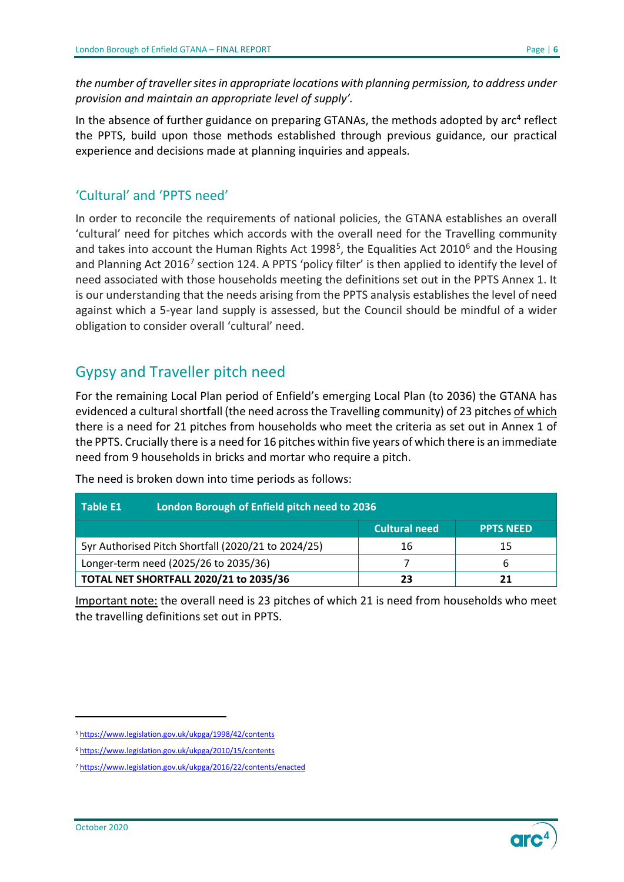*the number of traveller sites in appropriate locations with planning permission, to address under provision and maintain an appropriate level of supply'.*

In the absence of further guidance on preparing GTANAs, the methods adopted by  $arc<sup>4</sup>$  reflect the PPTS, build upon those methods established through previous guidance, our practical experience and decisions made at planning inquiries and appeals.

#### 'Cultural' and 'PPTS need'

In order to reconcile the requirements of national policies, the GTANA establishes an overall 'cultural' need for pitches which accords with the overall need for the Travelling community and takes into account the Human Rights Act 1998<sup>[5](#page-5-1)</sup>, the Equalities Act 2010<sup>[6](#page-5-2)</sup> and the Housing and Planning Act 2016<sup>7</sup> section 124. A PPTS 'policy filter' is then applied to identify the level of need associated with those households meeting the definitions set out in the PPTS Annex 1. It is our understanding that the needs arising from the PPTS analysis establishes the level of need against which a 5-year land supply is assessed, but the Council should be mindful of a wider obligation to consider overall 'cultural' need.

## Gypsy and Traveller pitch need

For the remaining Local Plan period of Enfield's emerging Local Plan (to 2036) the GTANA has evidenced a cultural shortfall (the need across the Travelling community) of 23 pitches of which there is a need for 21 pitches from households who meet the criteria as set out in Annex 1 of the PPTS. Crucially there is a need for 16 pitches within five years of which there is an immediate need from 9 households in bricks and mortar who require a pitch.

<span id="page-5-0"></span>

| London Borough of Enfield pitch need to 2036<br>Table E1 |                      |                  |  |
|----------------------------------------------------------|----------------------|------------------|--|
|                                                          | <b>Cultural need</b> | <b>PPTS NEED</b> |  |
| 5yr Authorised Pitch Shortfall (2020/21 to 2024/25)      | 16                   | 15               |  |
| Longer-term need (2025/26 to 2035/36)                    |                      |                  |  |
| <b>TOTAL NET SHORTFALL 2020/21 to 2035/36</b>            | 23                   |                  |  |

The need is broken down into time periods as follows:

Important note: the overall need is 23 pitches of which 21 is need from households who meet the travelling definitions set out in PPTS.

<span id="page-5-1"></span><sup>5</sup> <https://www.legislation.gov.uk/ukpga/1998/42/contents>

<span id="page-5-2"></span><sup>6</sup> <https://www.legislation.gov.uk/ukpga/2010/15/contents>

<span id="page-5-3"></span><sup>7</sup> <https://www.legislation.gov.uk/ukpga/2016/22/contents/enacted>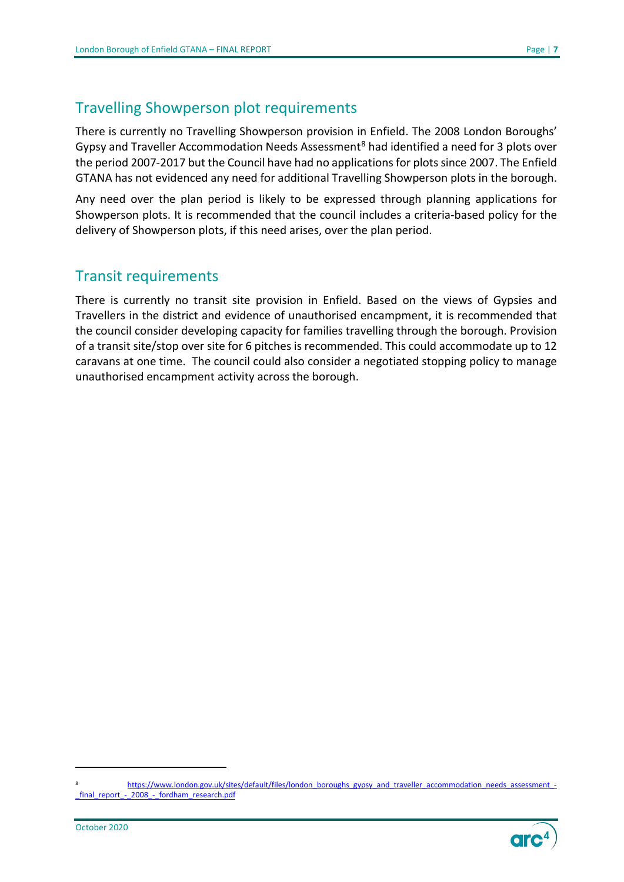## Travelling Showperson plot requirements

There is currently no Travelling Showperson provision in Enfield. The 2008 London Boroughs' Gypsy and Traveller Accommodation Needs Assessment<sup>[8](#page-6-0)</sup> had identified a need for 3 plots over the period 2007-2017 but the Council have had no applications for plots since 2007. The Enfield GTANA has not evidenced any need for additional Travelling Showperson plots in the borough.

Any need over the plan period is likely to be expressed through planning applications for Showperson plots. It is recommended that the council includes a criteria-based policy for the delivery of Showperson plots, if this need arises, over the plan period.

## Transit requirements

There is currently no transit site provision in Enfield. Based on the views of Gypsies and Travellers in the district and evidence of unauthorised encampment, it is recommended that the council consider developing capacity for families travelling through the borough. Provision of a transit site/stop over site for 6 pitches is recommended. This could accommodate up to 12 caravans at one time. The council could also consider a negotiated stopping policy to manage unauthorised encampment activity across the borough.

<span id="page-6-0"></span><sup>8</sup> https://www.london.gov.uk/sites/default/files/london\_boroughs\_gypsy\_and\_traveller\_accommodation\_needs\_assessment [\\_final\\_report\\_-\\_2008\\_-\\_fordham\\_research.pdf](https://www.london.gov.uk/sites/default/files/london_boroughs_gypsy_and_traveller_accommodation_needs_assessment_-_final_report_-_2008_-_fordham_research.pdf)

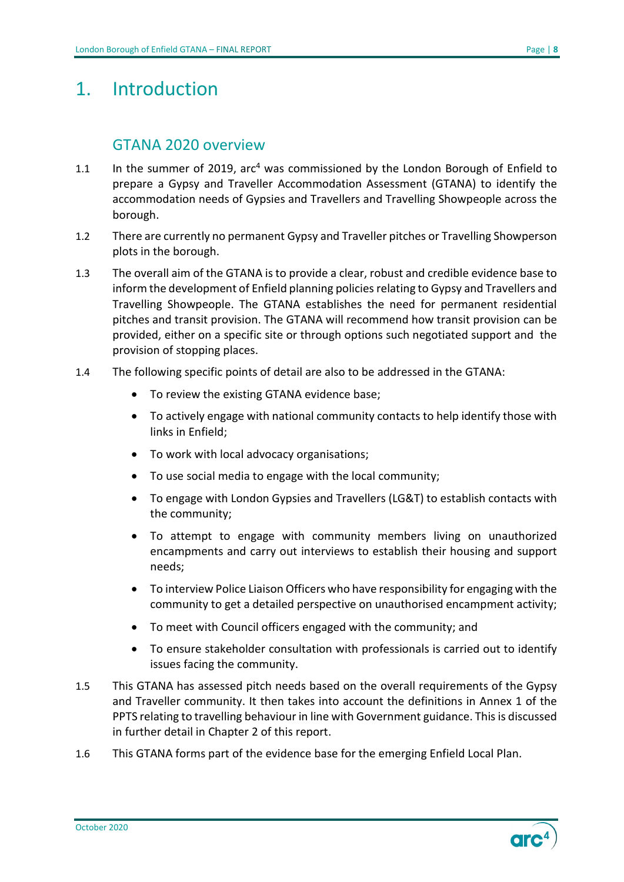## <span id="page-7-0"></span>1. Introduction

#### GTANA 2020 overview

- <span id="page-7-1"></span>1.1 In the summer of 2019,  $\arctan^4$  was commissioned by the London Borough of Enfield to prepare a Gypsy and Traveller Accommodation Assessment (GTANA) to identify the accommodation needs of Gypsies and Travellers and Travelling Showpeople across the borough.
- 1.2 There are currently no permanent Gypsy and Traveller pitches or Travelling Showperson plots in the borough.
- 1.3 The overall aim of the GTANA is to provide a clear, robust and credible evidence base to inform the development of Enfield planning policies relating to Gypsy and Travellers and Travelling Showpeople. The GTANA establishes the need for permanent residential pitches and transit provision. The GTANA will recommend how transit provision can be provided, either on a specific site or through options such negotiated support and the provision of stopping places.
- 1.4 The following specific points of detail are also to be addressed in the GTANA:
	- To review the existing GTANA evidence base;
	- To actively engage with national community contacts to help identify those with links in Enfield;
	- To work with local advocacy organisations;
	- To use social media to engage with the local community;
	- To engage with London Gypsies and Travellers (LG&T) to establish contacts with the community;
	- To attempt to engage with community members living on unauthorized encampments and carry out interviews to establish their housing and support needs;
	- To interview Police Liaison Officers who have responsibility for engaging with the community to get a detailed perspective on unauthorised encampment activity;
	- To meet with Council officers engaged with the community; and
	- To ensure stakeholder consultation with professionals is carried out to identify issues facing the community.
- 1.5 This GTANA has assessed pitch needs based on the overall requirements of the Gypsy and Traveller community. It then takes into account the definitions in Annex 1 of the PPTS relating to travelling behaviour in line with Government guidance. This is discussed in further detail in Chapter 2 of this report.
- 1.6 This GTANA forms part of the evidence base for the emerging Enfield Local Plan.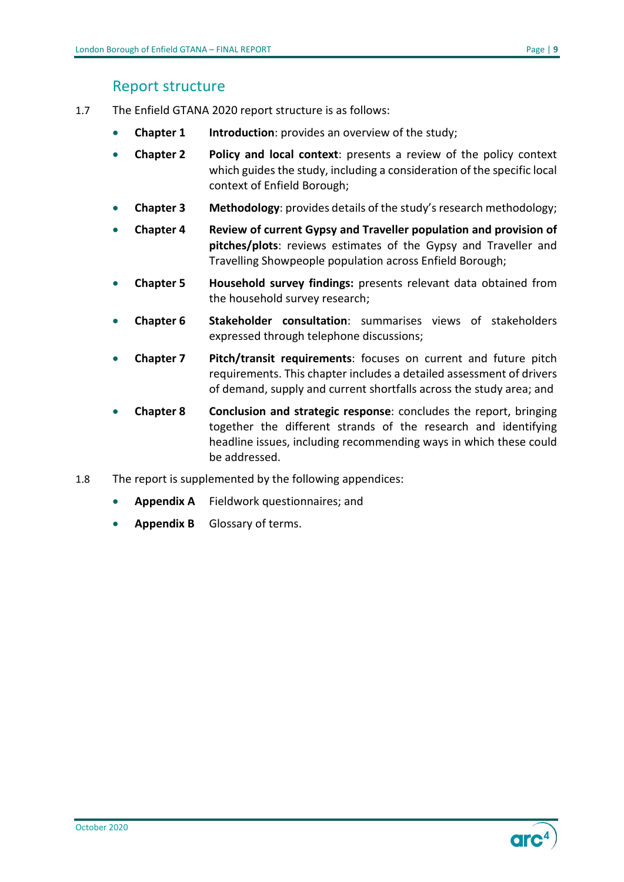### Report structure

- <span id="page-8-0"></span>1.7 The Enfield GTANA 2020 report structure is as follows:
	- **Chapter 1 Introduction:** provides an overview of the study;
	- **Chapter 2 Policy and local context**: presents a review of the policy context which guides the study, including a consideration of the specific local context of Enfield Borough;
	- **Chapter 3 Methodology**: provides details of the study's research methodology;
	- **Chapter 4 Review of current Gypsy and Traveller population and provision of pitches/plots**: reviews estimates of the Gypsy and Traveller and Travelling Showpeople population across Enfield Borough;
	- **Chapter 5 Household survey findings:** presents relevant data obtained from the household survey research;
	- **Chapter 6 Stakeholder consultation**: summarises views of stakeholders expressed through telephone discussions;
	- **Chapter 7 Pitch/transit requirements**: focuses on current and future pitch requirements. This chapter includes a detailed assessment of drivers of demand, supply and current shortfalls across the study area; and
	- **Chapter 8 Conclusion and strategic response**: concludes the report, bringing together the different strands of the research and identifying headline issues, including recommending ways in which these could be addressed.
- 1.8 The report is supplemented by the following appendices:
	- **Appendix A** Fieldwork questionnaires; and
	- **Appendix B** Glossary of terms.

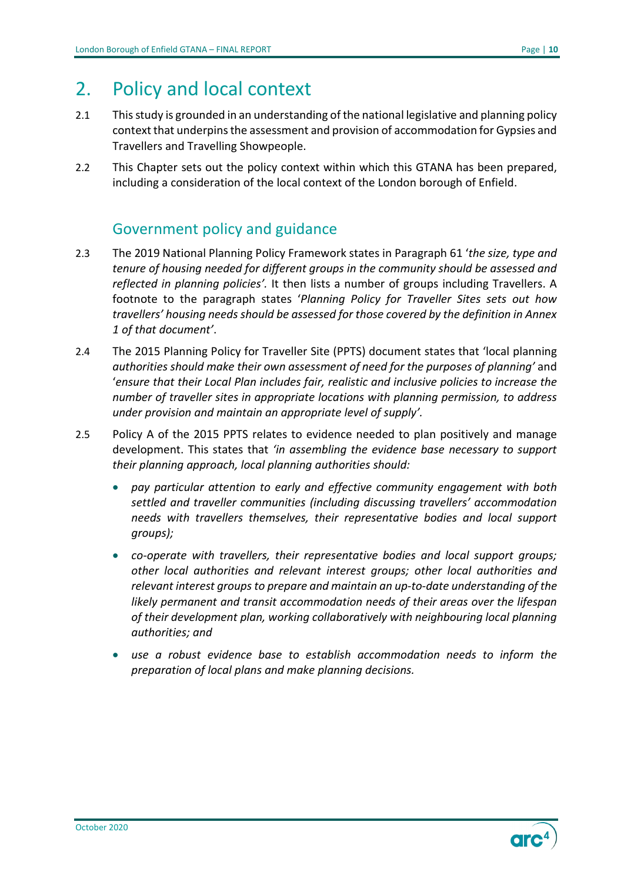## <span id="page-9-0"></span>2. Policy and local context

- 2.1 This study is grounded in an understanding of the national legislative and planning policy context that underpins the assessment and provision of accommodation for Gypsies and Travellers and Travelling Showpeople.
- 2.2 This Chapter sets out the policy context within which this GTANA has been prepared, including a consideration of the local context of the London borough of Enfield.

## Government policy and guidance

- <span id="page-9-1"></span>2.3 The 2019 National Planning Policy Framework states in Paragraph 61 '*the size, type and tenure of housing needed for different groups in the community should be assessed and reflected in planning policies'.* It then lists a number of groups including Travellers. A footnote to the paragraph states '*Planning Policy for Traveller Sites sets out how travellers' housing needs should be assessed for those covered by the definition in Annex 1 of that document'*.
- 2.4 The 2015 Planning Policy for Traveller Site (PPTS) document states that 'local planning *authorities should make their own assessment of need for the purposes of planning'* and '*ensure that their Local Plan includes fair, realistic and inclusive policies to increase the number of traveller sites in appropriate locations with planning permission, to address under provision and maintain an appropriate level of supply'.*
- 2.5 Policy A of the 2015 PPTS relates to evidence needed to plan positively and manage development. This states that *'in assembling the evidence base necessary to support their planning approach, local planning authorities should:* 
	- *pay particular attention to early and effective community engagement with both settled and traveller communities (including discussing travellers' accommodation needs with travellers themselves, their representative bodies and local support groups);*
	- *co-operate with travellers, their representative bodies and local support groups; other local authorities and relevant interest groups; other local authorities and relevant interest groups to prepare and maintain an up-to-date understanding of the likely permanent and transit accommodation needs of their areas over the lifespan of their development plan, working collaboratively with neighbouring local planning authorities; and*
	- *use a robust evidence base to establish accommodation needs to inform the preparation of local plans and make planning decisions.*

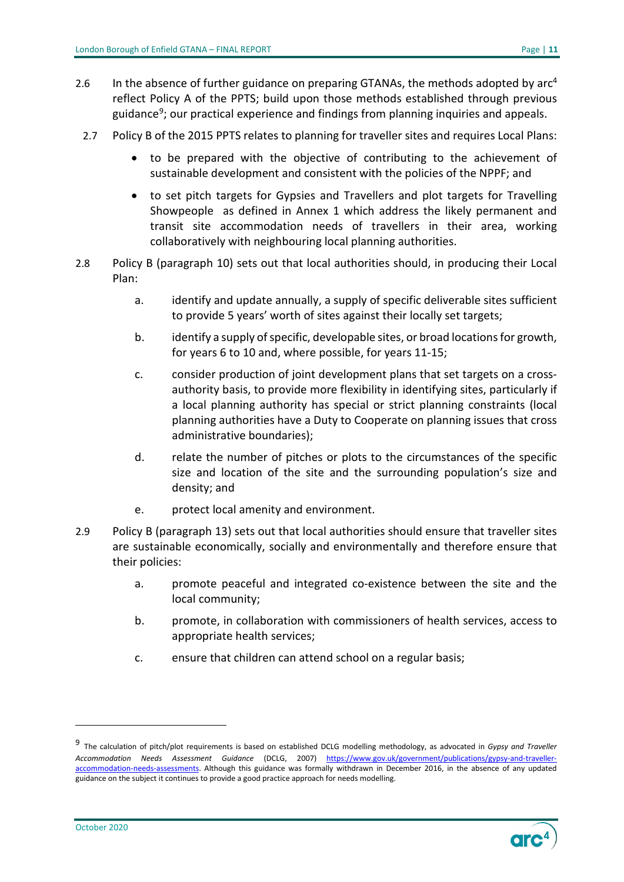- 2.6 In the absence of further guidance on preparing GTANAs, the methods adopted by  $\arctan$ reflect Policy A of the PPTS; build upon those methods established through previous guidance $9$ ; our practical experience and findings from planning inquiries and appeals.
	- 2.7 Policy B of the 2015 PPTS relates to planning for traveller sites and requires Local Plans:
		- to be prepared with the objective of contributing to the achievement of sustainable development and consistent with the policies of the NPPF; and
		- to set pitch targets for Gypsies and Travellers and plot targets for Travelling Showpeople as defined in Annex 1 which address the likely permanent and transit site accommodation needs of travellers in their area, working collaboratively with neighbouring local planning authorities.
- 2.8 Policy B (paragraph 10) sets out that local authorities should, in producing their Local Plan:
	- a. identify and update annually, a supply of specific deliverable sites sufficient to provide 5 years' worth of sites against their locally set targets;
	- b. identify a supply of specific, developable sites, or broad locations for growth, for years 6 to 10 and, where possible, for years 11-15;
	- c. consider production of joint development plans that set targets on a crossauthority basis, to provide more flexibility in identifying sites, particularly if a local planning authority has special or strict planning constraints (local planning authorities have a Duty to Cooperate on planning issues that cross administrative boundaries);
	- d. relate the number of pitches or plots to the circumstances of the specific size and location of the site and the surrounding population's size and density; and
	- e. protect local amenity and environment.
- 2.9 Policy B (paragraph 13) sets out that local authorities should ensure that traveller sites are sustainable economically, socially and environmentally and therefore ensure that their policies:
	- a. promote peaceful and integrated co-existence between the site and the local community;
	- b. promote, in collaboration with commissioners of health services, access to appropriate health services;
	- c. ensure that children can attend school on a regular basis;

<span id="page-10-0"></span><sup>9</sup> The calculation of pitch/plot requirements is based on established DCLG modelling methodology, as advocated in *Gypsy and Traveller Accommodation Needs Assessment Guidance* (DCLG, 2007) [https://www.gov.uk/government/publications/gypsy-and-traveller](https://www.gov.uk/government/publications/gypsy-and-traveller-accommodation-needs-assessments)[accommodation-needs-assessments.](https://www.gov.uk/government/publications/gypsy-and-traveller-accommodation-needs-assessments) Although this guidance was formally withdrawn in December 2016, in the absence of any updated guidance on the subject it continues to provide a good practice approach for needs modelling.

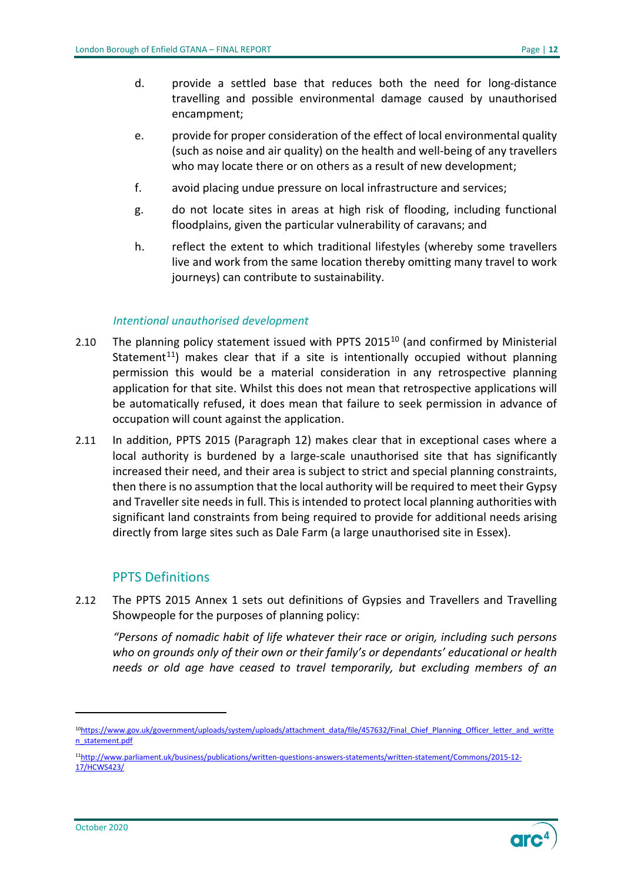- d. provide a settled base that reduces both the need for long-distance travelling and possible environmental damage caused by unauthorised encampment;
- e. provide for proper consideration of the effect of local environmental quality (such as noise and air quality) on the health and well-being of any travellers who may locate there or on others as a result of new development;
- f. avoid placing undue pressure on local infrastructure and services;
- g. do not locate sites in areas at high risk of flooding, including functional floodplains, given the particular vulnerability of caravans; and
- h. reflect the extent to which traditional lifestyles (whereby some travellers live and work from the same location thereby omitting many travel to work journeys) can contribute to sustainability.

#### *Intentional unauthorised development*

- 2.[10](#page-11-0) The planning policy statement issued with PPTS 2015 $^{10}$  (and confirmed by Ministerial Statement<sup>[11](#page-11-1)</sup>) makes clear that if a site is intentionally occupied without planning permission this would be a material consideration in any retrospective planning application for that site. Whilst this does not mean that retrospective applications will be automatically refused, it does mean that failure to seek permission in advance of occupation will count against the application.
- 2.11 In addition, PPTS 2015 (Paragraph 12) makes clear that in exceptional cases where a local authority is burdened by a large-scale unauthorised site that has significantly increased their need, and their area is subject to strict and special planning constraints, then there is no assumption that the local authority will be required to meet their Gypsy and Traveller site needs in full. This is intended to protect local planning authorities with significant land constraints from being required to provide for additional needs arising directly from large sites such as Dale Farm (a large unauthorised site in Essex).

#### PPTS Definitions

2.12 The PPTS 2015 Annex 1 sets out definitions of Gypsies and Travellers and Travelling Showpeople for the purposes of planning policy:

*"Persons of nomadic habit of life whatever their race or origin, including such persons who on grounds only of their own or their family's or dependants' educational or health needs or old age have ceased to travel temporarily, but excluding members of an* 

<span id="page-11-0"></span><sup>1</sup>[0https://www.gov.uk/government/uploads/system/uploads/attachment\\_data/file/457632/Final\\_Chief\\_Planning\\_Officer\\_letter\\_and\\_writte](https://www.gov.uk/government/uploads/system/uploads/attachment_data/file/457632/Final_Chief_Planning_Officer_letter_and_written_statement.pdf) [n\\_statement.pdf](https://www.gov.uk/government/uploads/system/uploads/attachment_data/file/457632/Final_Chief_Planning_Officer_letter_and_written_statement.pdf)

<span id="page-11-2"></span><span id="page-11-1"></span><sup>1</sup>[1http://www.parliament.uk/business/publications/written-questions-answers-statements/written-statement/Commons/2015-12-](http://www.parliament.uk/business/publications/written-questions-answers-statements/written-statement/Commons/2015-12-17/HCWS423/) [17/HCWS423/](http://www.parliament.uk/business/publications/written-questions-answers-statements/written-statement/Commons/2015-12-17/HCWS423/)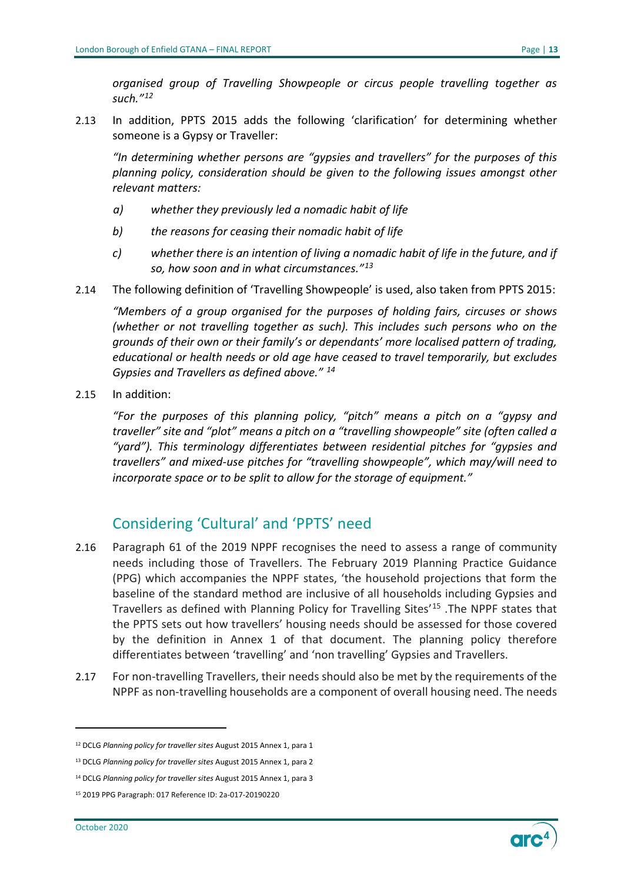*organised group of Travelling Showpeople or circus people travelling together as such."[12](#page-11-2)*

2.13 In addition, PPTS 2015 adds the following 'clarification' for determining whether someone is a Gypsy or Traveller:

*"In determining whether persons are "gypsies and travellers" for the purposes of this planning policy, consideration should be given to the following issues amongst other relevant matters:* 

- *a) whether they previously led a nomadic habit of life*
- *b) the reasons for ceasing their nomadic habit of life*
- *c) whether there is an intention of living a nomadic habit of life in the future, and if so, how soon and in what circumstances."[13](#page-12-1)*
- 2.14 The following definition of 'Travelling Showpeople' is used, also taken from PPTS 2015:

*"Members of a group organised for the purposes of holding fairs, circuses or shows (whether or not travelling together as such). This includes such persons who on the grounds of their own or their family's or dependants' more localised pattern of trading, educational or health needs or old age have ceased to travel temporarily, but excludes Gypsies and Travellers as defined above." [14](#page-12-2)*

2.15 In addition:

*"For the purposes of this planning policy, "pitch" means a pitch on a "gypsy and traveller" site and "plot" means a pitch on a "travelling showpeople" site (often called a "yard"). This terminology differentiates between residential pitches for "gypsies and travellers" and mixed-use pitches for "travelling showpeople", which may/will need to incorporate space or to be split to allow for the storage of equipment."*

## <span id="page-12-0"></span>Considering 'Cultural' and 'PPTS' need

- 2.16 Paragraph 61 of the 2019 NPPF recognises the need to assess a range of community needs including those of Travellers. The February 2019 Planning Practice Guidance (PPG) which accompanies the NPPF states, 'the household projections that form the baseline of the standard method are inclusive of all households including Gypsies and Travellers as defined with Planning Policy for Travelling Sites'[15](#page-12-3) .The NPPF states that the PPTS sets out how travellers' housing needs should be assessed for those covered by the definition in Annex 1 of that document. The planning policy therefore differentiates between 'travelling' and 'non travelling' Gypsies and Travellers.
- 2.17 For non-travelling Travellers, their needs should also be met by the requirements of the NPPF as non-travelling households are a component of overall housing need. The needs



<sup>12</sup> DCLG *Planning policy for traveller sites* August 2015 Annex 1, para 1

<span id="page-12-1"></span><sup>13</sup> DCLG *Planning policy for traveller sites* August 2015 Annex 1, para 2

<span id="page-12-2"></span><sup>14</sup> DCLG *Planning policy for traveller sites* August 2015 Annex 1, para 3

<span id="page-12-3"></span><sup>15</sup> 2019 PPG Paragraph: 017 Reference ID: 2a-017-20190220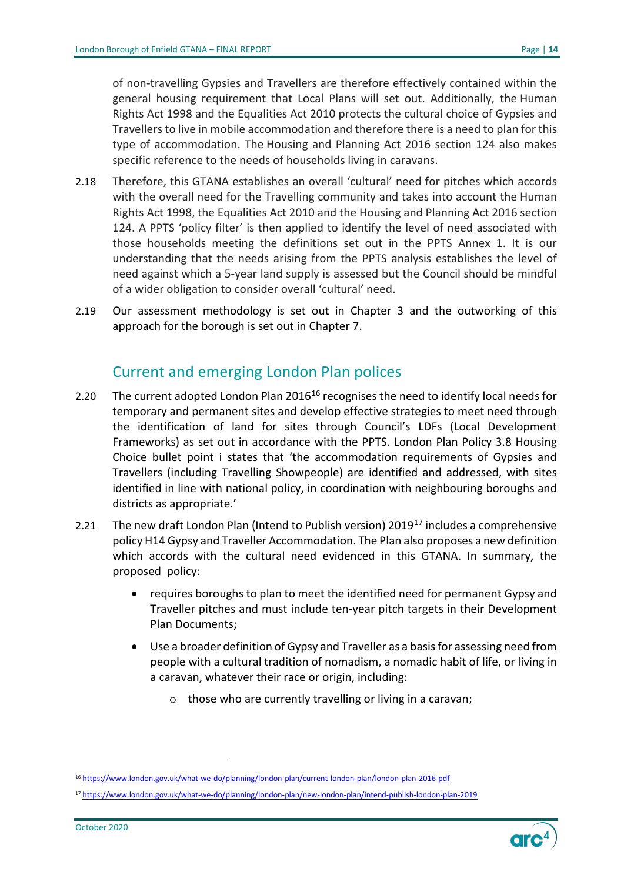of non-travelling Gypsies and Travellers are therefore effectively contained within the general housing requirement that Local Plans will set out. Additionally, the Human Rights Act 1998 and the Equalities Act 2010 protects the cultural choice of Gypsies and Travellers to live in mobile accommodation and therefore there is a need to plan for this type of accommodation. The Housing and Planning Act 2016 section 124 also makes specific reference to the needs of households living in caravans.

- 2.18 Therefore, this GTANA establishes an overall 'cultural' need for pitches which accords with the overall need for the Travelling community and takes into account the Human Rights Act 1998, the Equalities Act 2010 and the Housing and Planning Act 2016 section 124. A PPTS 'policy filter' is then applied to identify the level of need associated with those households meeting the definitions set out in the PPTS Annex 1. It is our understanding that the needs arising from the PPTS analysis establishes the level of need against which a 5-year land supply is assessed but the Council should be mindful of a wider obligation to consider overall 'cultural' need.
- 2.19 Our assessment methodology is set out in Chapter 3 and the outworking of this approach for the borough is set out in Chapter 7.

## Current and emerging London Plan polices

- <span id="page-13-0"></span>2.20 The current adopted London Plan 20[16](#page-13-1)<sup>16</sup> recognises the need to identify local needs for temporary and permanent sites and develop effective strategies to meet need through the identification of land for sites through Council's LDFs (Local Development Frameworks) as set out in accordance with the PPTS. London Plan Policy 3.8 Housing Choice bullet point i states that 'the accommodation requirements of Gypsies and Travellers (including Travelling Showpeople) are identified and addressed, with sites identified in line with national policy, in coordination with neighbouring boroughs and districts as appropriate.'
- 2.21 The new draft London Plan (Intend to Publish version)  $2019^{17}$  $2019^{17}$  $2019^{17}$  includes a comprehensive policy H14 Gypsy and Traveller Accommodation. The Plan also proposes a new definition which accords with the cultural need evidenced in this GTANA. In summary, the proposed policy:
	- requires boroughs to plan to meet the identified need for permanent Gypsy and Traveller pitches and must include ten-year pitch targets in their Development Plan Documents;
	- Use a broader definition of Gypsy and Traveller as a basis for assessing need from people with a cultural tradition of nomadism, a nomadic habit of life, or living in a caravan, whatever their race or origin, including:
		- $\circ$  those who are currently travelling or living in a caravan;



<span id="page-13-1"></span><sup>16</sup> <https://www.london.gov.uk/what-we-do/planning/london-plan/current-london-plan/london-plan-2016-pdf>

<span id="page-13-2"></span><sup>17</sup> <https://www.london.gov.uk/what-we-do/planning/london-plan/new-london-plan/intend-publish-london-plan-2019>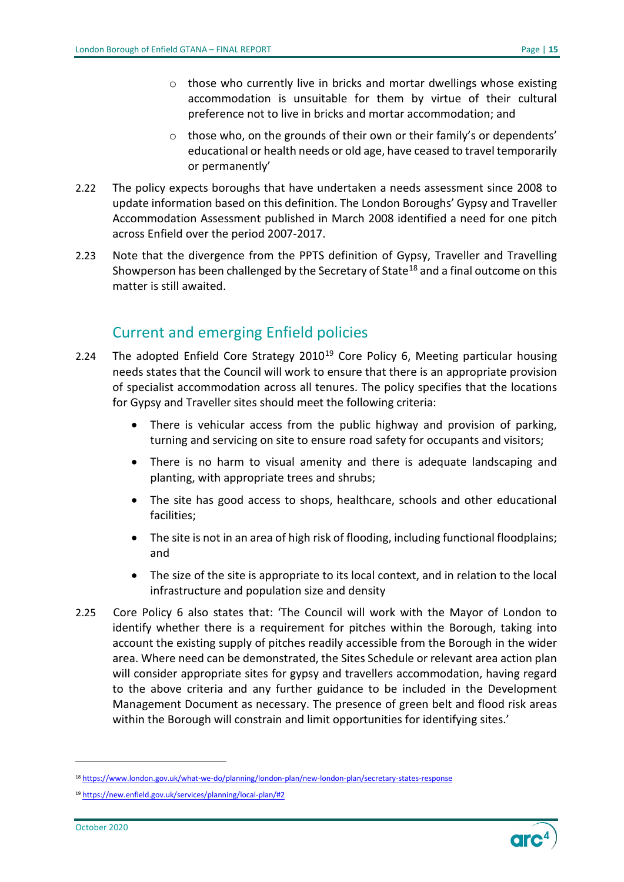- o those who currently live in bricks and mortar dwellings whose existing accommodation is unsuitable for them by virtue of their cultural preference not to live in bricks and mortar accommodation; and
- o those who, on the grounds of their own or their family's or dependents' educational or health needs or old age, have ceased to travel temporarily or permanently'
- 2.22 The policy expects boroughs that have undertaken a needs assessment since 2008 to update information based on this definition. The London Boroughs' Gypsy and Traveller Accommodation Assessment published in March 2008 identified a need for one pitch across Enfield over the period 2007-2017.
- 2.23 Note that the divergence from the PPTS definition of Gypsy, Traveller and Travelling Showperson has been challenged by the Secretary of State<sup>[18](#page-14-1)</sup> and a final outcome on this matter is still awaited.

## Current and emerging Enfield policies

- <span id="page-14-0"></span>2.24 The adopted Enfield Core Strategy  $2010^{19}$  $2010^{19}$  $2010^{19}$  Core Policy 6, Meeting particular housing needs states that the Council will work to ensure that there is an appropriate provision of specialist accommodation across all tenures. The policy specifies that the locations for Gypsy and Traveller sites should meet the following criteria:
	- There is vehicular access from the public highway and provision of parking, turning and servicing on site to ensure road safety for occupants and visitors;
	- There is no harm to visual amenity and there is adequate landscaping and planting, with appropriate trees and shrubs;
	- The site has good access to shops, healthcare, schools and other educational facilities;
	- The site is not in an area of high risk of flooding, including functional floodplains; and
	- The size of the site is appropriate to its local context, and in relation to the local infrastructure and population size and density
- 2.25 Core Policy 6 also states that: 'The Council will work with the Mayor of London to identify whether there is a requirement for pitches within the Borough, taking into account the existing supply of pitches readily accessible from the Borough in the wider area. Where need can be demonstrated, the Sites Schedule or relevant area action plan will consider appropriate sites for gypsy and travellers accommodation, having regard to the above criteria and any further guidance to be included in the Development Management Document as necessary. The presence of green belt and flood risk areas within the Borough will constrain and limit opportunities for identifying sites.'



<span id="page-14-1"></span><sup>18</sup> <https://www.london.gov.uk/what-we-do/planning/london-plan/new-london-plan/secretary-states-response>

<span id="page-14-2"></span><sup>19</sup> <https://new.enfield.gov.uk/services/planning/local-plan/#2>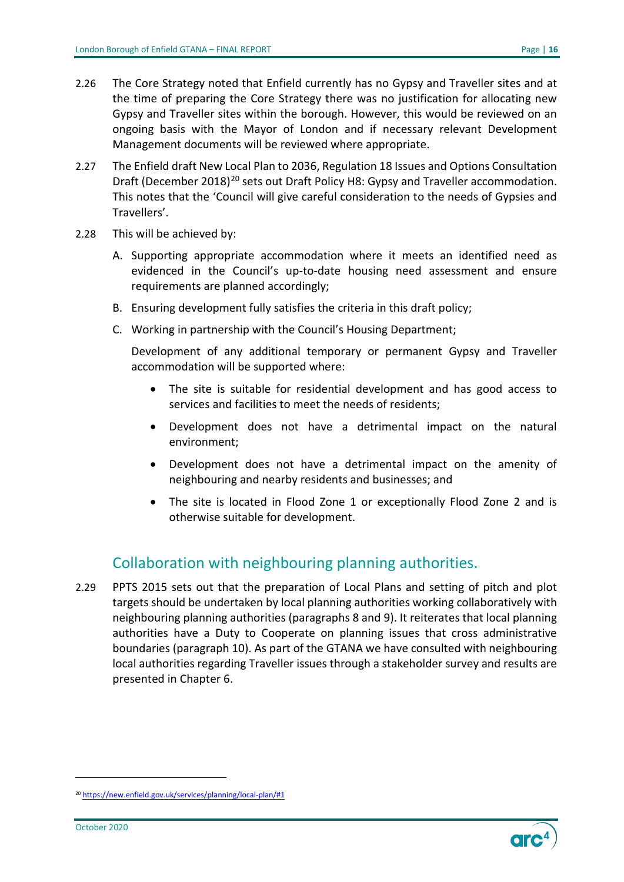- 2.26 The Core Strategy noted that Enfield currently has no Gypsy and Traveller sites and at the time of preparing the Core Strategy there was no justification for allocating new Gypsy and Traveller sites within the borough. However, this would be reviewed on an ongoing basis with the Mayor of London and if necessary relevant Development Management documents will be reviewed where appropriate.
- 2.27 The Enfield draft New Local Plan to 2036, Regulation 18 Issues and Options Consultation Draft (December [20](#page-15-1)18)<sup>20</sup> sets out Draft Policy H8: Gypsy and Traveller accommodation. This notes that the 'Council will give careful consideration to the needs of Gypsies and Travellers'.
- 2.28 This will be achieved by:
	- A. Supporting appropriate accommodation where it meets an identified need as evidenced in the Council's up-to-date housing need assessment and ensure requirements are planned accordingly;
	- B. Ensuring development fully satisfies the criteria in this draft policy;
	- C. Working in partnership with the Council's Housing Department;

Development of any additional temporary or permanent Gypsy and Traveller accommodation will be supported where:

- The site is suitable for residential development and has good access to services and facilities to meet the needs of residents;
- Development does not have a detrimental impact on the natural environment;
- Development does not have a detrimental impact on the amenity of neighbouring and nearby residents and businesses; and
- The site is located in Flood Zone 1 or exceptionally Flood Zone 2 and is otherwise suitable for development.

## Collaboration with neighbouring planning authorities.

<span id="page-15-0"></span>2.29 PPTS 2015 sets out that the preparation of Local Plans and setting of pitch and plot targets should be undertaken by local planning authorities working collaboratively with neighbouring planning authorities (paragraphs 8 and 9). It reiterates that local planning authorities have a Duty to Cooperate on planning issues that cross administrative boundaries (paragraph 10). As part of the GTANA we have consulted with neighbouring local authorities regarding Traveller issues through a stakeholder survey and results are presented in Chapter 6.

<span id="page-15-1"></span><sup>20</sup> <https://new.enfield.gov.uk/services/planning/local-plan/#1>



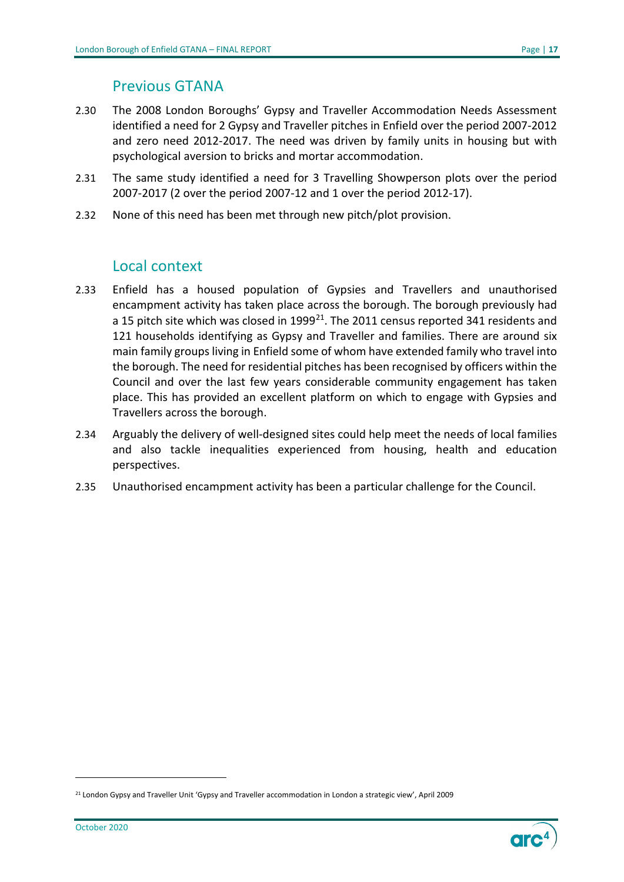#### Previous GTANA

- <span id="page-16-0"></span>2.30 The 2008 London Boroughs' Gypsy and Traveller Accommodation Needs Assessment identified a need for 2 Gypsy and Traveller pitches in Enfield over the period 2007-2012 and zero need 2012-2017. The need was driven by family units in housing but with psychological aversion to bricks and mortar accommodation.
- 2.31 The same study identified a need for 3 Travelling Showperson plots over the period 2007-2017 (2 over the period 2007-12 and 1 over the period 2012-17).
- 2.32 None of this need has been met through new pitch/plot provision.

## Local context

- <span id="page-16-1"></span>2.33 Enfield has a housed population of Gypsies and Travellers and unauthorised encampment activity has taken place across the borough. The borough previously had a 15 pitch site which was closed in  $1999^{21}$ . The 2011 census reported 341 residents and 121 households identifying as Gypsy and Traveller and families. There are around six main family groups living in Enfield some of whom have extended family who travel into the borough. The need for residential pitches has been recognised by officers within the Council and over the last few years considerable community engagement has taken place. This has provided an excellent platform on which to engage with Gypsies and Travellers across the borough.
- 2.34 Arguably the delivery of well-designed sites could help meet the needs of local families and also tackle inequalities experienced from housing, health and education perspectives.
- 2.35 Unauthorised encampment activity has been a particular challenge for the Council.



<span id="page-16-2"></span><sup>&</sup>lt;sup>21</sup> London Gypsy and Traveller Unit 'Gypsy and Traveller accommodation in London a strategic view', April 2009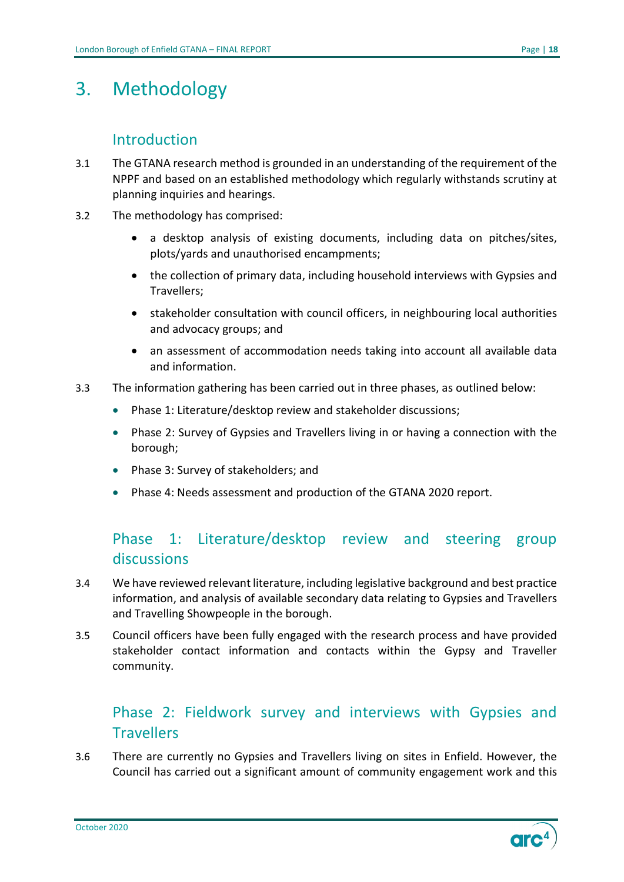## <span id="page-17-0"></span>3. Methodology

## **Introduction**

- <span id="page-17-1"></span>3.1 The GTANA research method is grounded in an understanding of the requirement of the NPPF and based on an established methodology which regularly withstands scrutiny at planning inquiries and hearings.
- 3.2 The methodology has comprised:
	- a desktop analysis of existing documents, including data on pitches/sites, plots/yards and unauthorised encampments;
	- the collection of primary data, including household interviews with Gypsies and Travellers;
	- stakeholder consultation with council officers, in neighbouring local authorities and advocacy groups; and
	- an assessment of accommodation needs taking into account all available data and information.
- 3.3 The information gathering has been carried out in three phases, as outlined below:
	- Phase 1: Literature/desktop review and stakeholder discussions;
	- Phase 2: Survey of Gypsies and Travellers living in or having a connection with the borough;
	- Phase 3: Survey of stakeholders; and
	- Phase 4: Needs assessment and production of the GTANA 2020 report.

## <span id="page-17-2"></span>Phase 1: Literature/desktop review and steering group discussions

- 3.4 We have reviewed relevant literature, including legislative background and best practice information, and analysis of available secondary data relating to Gypsies and Travellers and Travelling Showpeople in the borough.
- 3.5 Council officers have been fully engaged with the research process and have provided stakeholder contact information and contacts within the Gypsy and Traveller community.

## <span id="page-17-3"></span>Phase 2: Fieldwork survey and interviews with Gypsies and **Travellers**

3.6 There are currently no Gypsies and Travellers living on sites in Enfield. However, the Council has carried out a significant amount of community engagement work and this

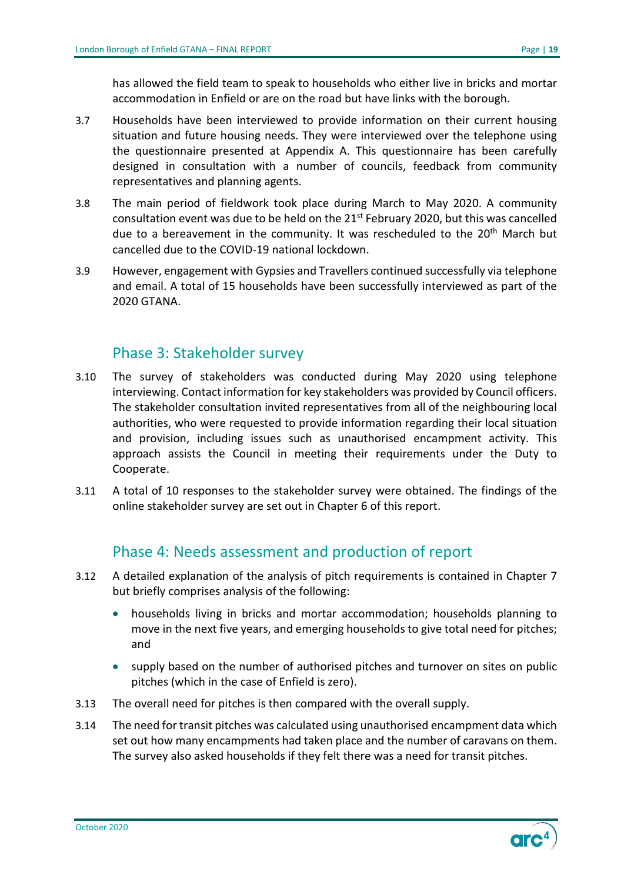has allowed the field team to speak to households who either live in bricks and mortar accommodation in Enfield or are on the road but have links with the borough.

- 3.7 Households have been interviewed to provide information on their current housing situation and future housing needs. They were interviewed over the telephone using the questionnaire presented at Appendix A. This questionnaire has been carefully designed in consultation with a number of councils, feedback from community representatives and planning agents.
- 3.8 The main period of fieldwork took place during March to May 2020. A community consultation event was due to be held on the 21<sup>st</sup> February 2020, but this was cancelled due to a bereavement in the community. It was rescheduled to the 20<sup>th</sup> March but cancelled due to the COVID-19 national lockdown.
- 3.9 However, engagement with Gypsies and Travellers continued successfully via telephone and email. A total of 15 households have been successfully interviewed as part of the 2020 GTANA.

## Phase 3: Stakeholder survey

- <span id="page-18-0"></span>3.10 The survey of stakeholders was conducted during May 2020 using telephone interviewing. Contact information for key stakeholders was provided by Council officers. The stakeholder consultation invited representatives from all of the neighbouring local authorities, who were requested to provide information regarding their local situation and provision, including issues such as unauthorised encampment activity. This approach assists the Council in meeting their requirements under the Duty to Cooperate.
- 3.11 A total of 10 responses to the stakeholder survey were obtained. The findings of the online stakeholder survey are set out in Chapter 6 of this report.

## Phase 4: Needs assessment and production of report

- <span id="page-18-1"></span>3.12 A detailed explanation of the analysis of pitch requirements is contained in Chapter 7 but briefly comprises analysis of the following:
	- households living in bricks and mortar accommodation; households planning to move in the next five years, and emerging households to give total need for pitches; and
	- supply based on the number of authorised pitches and turnover on sites on public pitches (which in the case of Enfield is zero).
- 3.13 The overall need for pitches is then compared with the overall supply.
- 3.14 The need for transit pitches was calculated using unauthorised encampment data which set out how many encampments had taken place and the number of caravans on them. The survey also asked households if they felt there was a need for transit pitches.

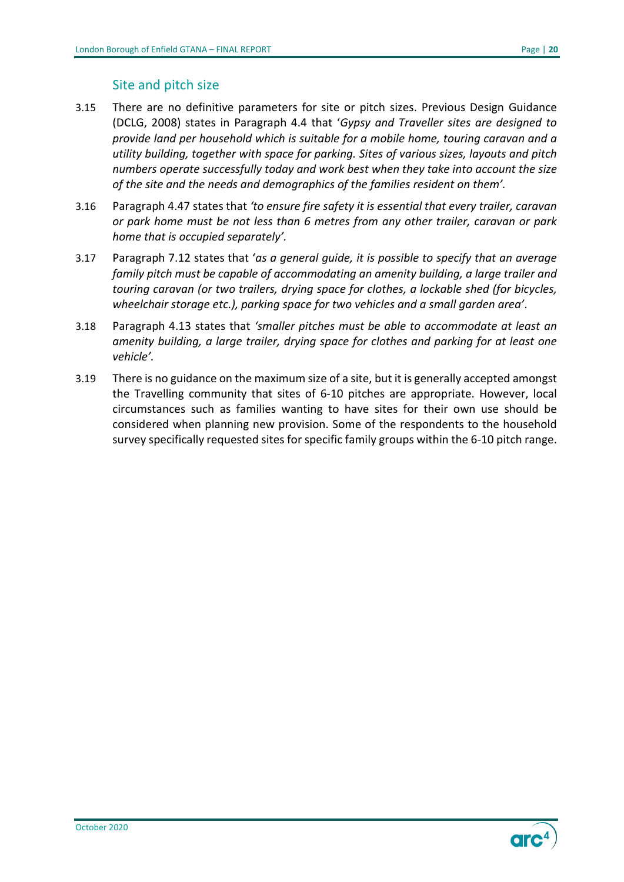#### Site and pitch size

- 3.15 There are no definitive parameters for site or pitch sizes. Previous Design Guidance (DCLG, 2008) states in Paragraph 4.4 that '*Gypsy and Traveller sites are designed to provide land per household which is suitable for a mobile home, touring caravan and a utility building, together with space for parking. Sites of various sizes, layouts and pitch numbers operate successfully today and work best when they take into account the size of the site and the needs and demographics of the families resident on them'.*
- 3.16 Paragraph 4.47 states that *'to ensure fire safety it is essential that every trailer, caravan or park home must be not less than 6 metres from any other trailer, caravan or park home that is occupied separately'.*
- 3.17 Paragraph 7.12 states that '*as a general guide, it is possible to specify that an average family pitch must be capable of accommodating an amenity building, a large trailer and touring caravan (or two trailers, drying space for clothes, a lockable shed (for bicycles, wheelchair storage etc.), parking space for two vehicles and a small garden area'*.
- 3.18 Paragraph 4.13 states that *'smaller pitches must be able to accommodate at least an amenity building, a large trailer, drying space for clothes and parking for at least one vehicle'.*
- 3.19 There is no guidance on the maximum size of a site, but it is generally accepted amongst the Travelling community that sites of 6-10 pitches are appropriate. However, local circumstances such as families wanting to have sites for their own use should be considered when planning new provision. Some of the respondents to the household survey specifically requested sites for specific family groups within the 6-10 pitch range.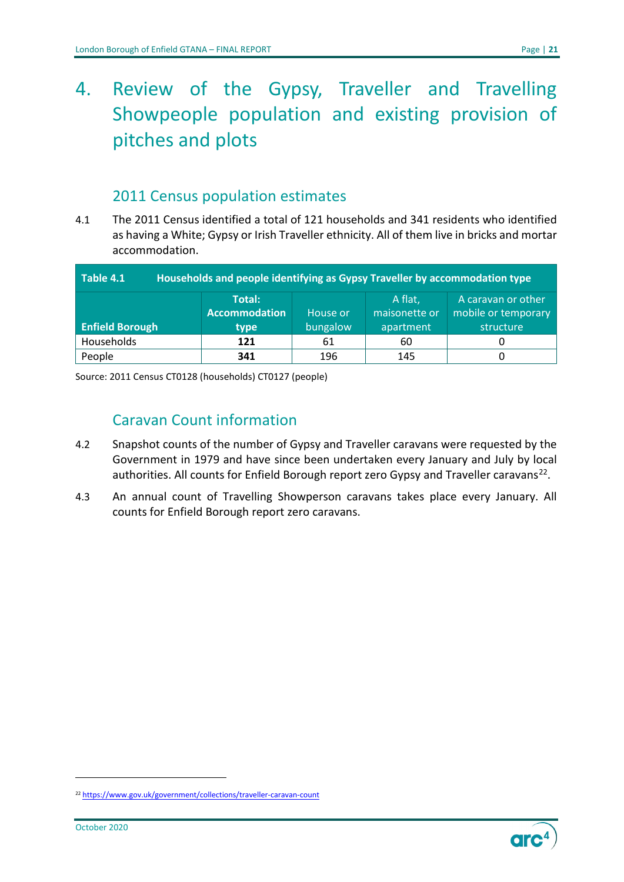# <span id="page-20-0"></span>4. Review of the Gypsy, Traveller and Travelling Showpeople population and existing provision of pitches and plots

## 2011 Census population estimates

<span id="page-20-1"></span>4.1 The 2011 Census identified a total of 121 households and 341 residents who identified as having a White; Gypsy or Irish Traveller ethnicity. All of them live in bricks and mortar accommodation.

<span id="page-20-3"></span>

| Table 4.1<br>Households and people identifying as Gypsy Traveller by accommodation type |                      |          |               |                     |  |
|-----------------------------------------------------------------------------------------|----------------------|----------|---------------|---------------------|--|
|                                                                                         | Total:               |          | A flat,       | A caravan or other  |  |
|                                                                                         | <b>Accommodation</b> | House or | maisonette or | mobile or temporary |  |
| <b>Enfield Borough</b>                                                                  | type                 | bungalow | apartment     | structure           |  |
| Households                                                                              | 121                  | 61       | 60            |                     |  |
| People                                                                                  | 341                  | 196      | 145           |                     |  |

Source: 2011 Census CT0128 (households) CT0127 (people)

## Caravan Count information

- <span id="page-20-2"></span>4.2 Snapshot counts of the number of Gypsy and Traveller caravans were requested by the Government in 1979 and have since been undertaken every January and July by local authorities. All counts for Enfield Borough report zero Gypsy and Traveller caravans<sup>[22](#page-20-4)</sup>.
- 4.3 An annual count of Travelling Showperson caravans takes place every January. All counts for Enfield Borough report zero caravans.



<span id="page-20-4"></span><sup>&</sup>lt;sup>22</sup> <https://www.gov.uk/government/collections/traveller-caravan-count>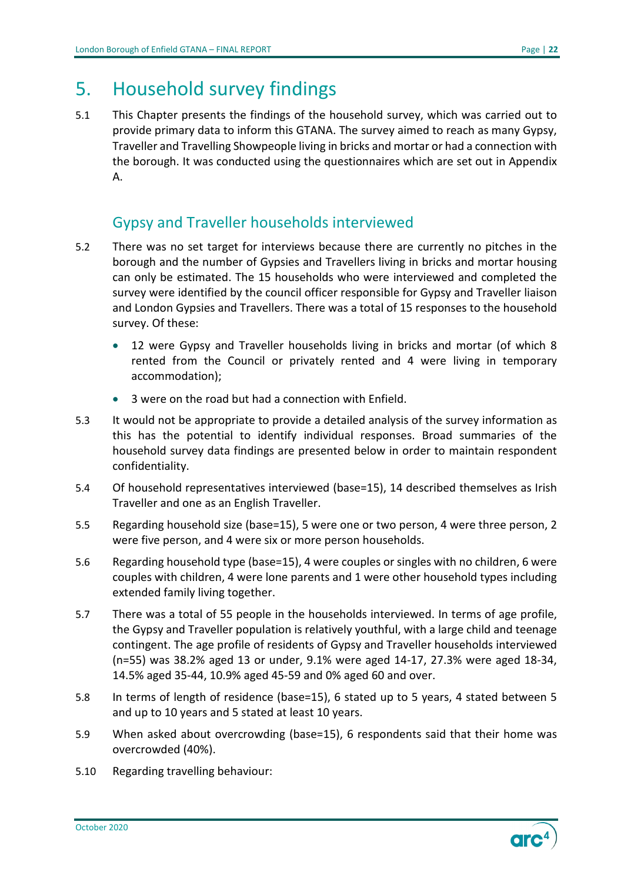## <span id="page-21-0"></span>5. Household survey findings

5.1 This Chapter presents the findings of the household survey, which was carried out to provide primary data to inform this GTANA. The survey aimed to reach as many Gypsy, Traveller and Travelling Showpeople living in bricks and mortar or had a connection with the borough. It was conducted using the questionnaires which are set out in Appendix A.

## Gypsy and Traveller households interviewed

- <span id="page-21-1"></span>5.2 There was no set target for interviews because there are currently no pitches in the borough and the number of Gypsies and Travellers living in bricks and mortar housing can only be estimated. The 15 households who were interviewed and completed the survey were identified by the council officer responsible for Gypsy and Traveller liaison and London Gypsies and Travellers. There was a total of 15 responses to the household survey. Of these:
	- 12 were Gypsy and Traveller households living in bricks and mortar (of which 8 rented from the Council or privately rented and 4 were living in temporary accommodation);
	- 3 were on the road but had a connection with Enfield.
- 5.3 It would not be appropriate to provide a detailed analysis of the survey information as this has the potential to identify individual responses. Broad summaries of the household survey data findings are presented below in order to maintain respondent confidentiality.
- 5.4 Of household representatives interviewed (base=15), 14 described themselves as Irish Traveller and one as an English Traveller.
- 5.5 Regarding household size (base=15), 5 were one or two person, 4 were three person, 2 were five person, and 4 were six or more person households.
- 5.6 Regarding household type (base=15), 4 were couples or singles with no children, 6 were couples with children, 4 were lone parents and 1 were other household types including extended family living together.
- 5.7 There was a total of 55 people in the households interviewed. In terms of age profile, the Gypsy and Traveller population is relatively youthful, with a large child and teenage contingent. The age profile of residents of Gypsy and Traveller households interviewed (n=55) was 38.2% aged 13 or under, 9.1% were aged 14-17, 27.3% were aged 18-34, 14.5% aged 35-44, 10.9% aged 45-59 and 0% aged 60 and over.
- 5.8 In terms of length of residence (base=15), 6 stated up to 5 years, 4 stated between 5 and up to 10 years and 5 stated at least 10 years.
- 5.9 When asked about overcrowding (base=15), 6 respondents said that their home was overcrowded (40%).
- 5.10 Regarding travelling behaviour:

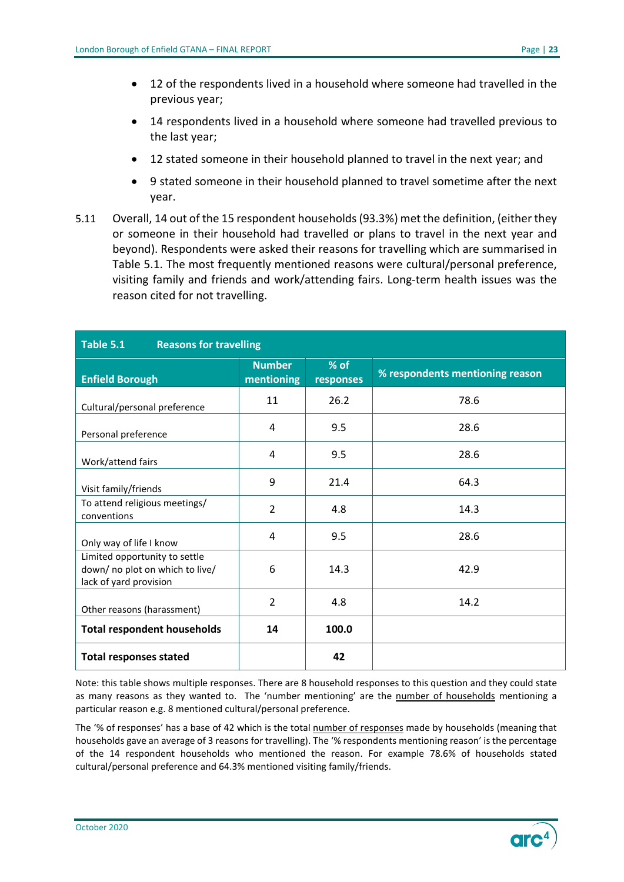- 12 of the respondents lived in a household where someone had travelled in the previous year;
- 14 respondents lived in a household where someone had travelled previous to the last year;
- 12 stated someone in their household planned to travel in the next year; and
- 9 stated someone in their household planned to travel sometime after the next year.
- 5.11 Overall, 14 out of the 15 respondent households(93.3%) met the definition, (either they or someone in their household had travelled or plans to travel in the next year and beyond). Respondents were asked their reasons for travelling which are summarised in Table 5.1. The most frequently mentioned reasons were cultural/personal preference, visiting family and friends and work/attending fairs. Long-term health issues was the reason cited for not travelling.

<span id="page-22-0"></span>

| Table 5.1<br><b>Reasons for travelling</b>                                                 |                             |                     |                                 |  |  |
|--------------------------------------------------------------------------------------------|-----------------------------|---------------------|---------------------------------|--|--|
| <b>Enfield Borough</b>                                                                     | <b>Number</b><br>mentioning | $%$ of<br>responses | % respondents mentioning reason |  |  |
| Cultural/personal preference                                                               | 11                          | 26.2                | 78.6                            |  |  |
| Personal preference                                                                        | 4                           | 9.5                 | 28.6                            |  |  |
| Work/attend fairs                                                                          | 4                           | 9.5                 | 28.6                            |  |  |
| Visit family/friends                                                                       | 9                           | 21.4                | 64.3                            |  |  |
| To attend religious meetings/<br>conventions                                               | $\overline{2}$              | 4.8                 | 14.3                            |  |  |
| Only way of life I know                                                                    | 4                           | 9.5                 | 28.6                            |  |  |
| Limited opportunity to settle<br>down/ no plot on which to live/<br>lack of yard provision | 6                           | 14.3                | 42.9                            |  |  |
| Other reasons (harassment)                                                                 | $\overline{2}$              | 4.8                 | 14.2                            |  |  |
| <b>Total respondent households</b>                                                         | 14                          | 100.0               |                                 |  |  |
| <b>Total responses stated</b>                                                              |                             | 42                  |                                 |  |  |

Note: this table shows multiple responses. There are 8 household responses to this question and they could state as many reasons as they wanted to. The 'number mentioning' are the number of households mentioning a particular reason e.g. 8 mentioned cultural/personal preference.

The '% of responses' has a base of 42 which is the total number of responses made by households (meaning that households gave an average of 3 reasons for travelling). The '% respondents mentioning reason' is the percentage of the 14 respondent households who mentioned the reason. For example 78.6% of households stated cultural/personal preference and 64.3% mentioned visiting family/friends.

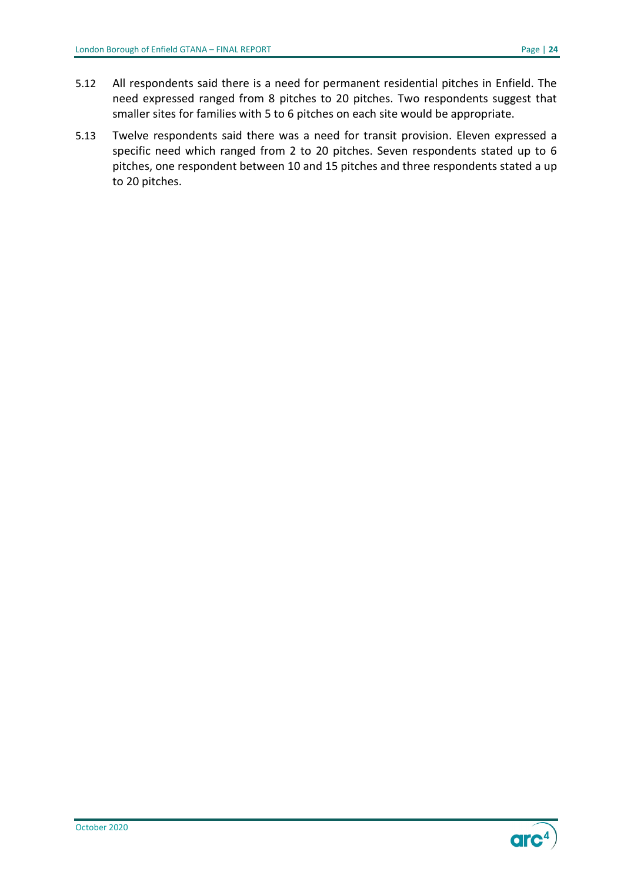- 5.12 All respondents said there is a need for permanent residential pitches in Enfield. The need expressed ranged from 8 pitches to 20 pitches. Two respondents suggest that smaller sites for families with 5 to 6 pitches on each site would be appropriate.
- 5.13 Twelve respondents said there was a need for transit provision. Eleven expressed a specific need which ranged from 2 to 20 pitches. Seven respondents stated up to 6 pitches, one respondent between 10 and 15 pitches and three respondents stated a up to 20 pitches.

**OF**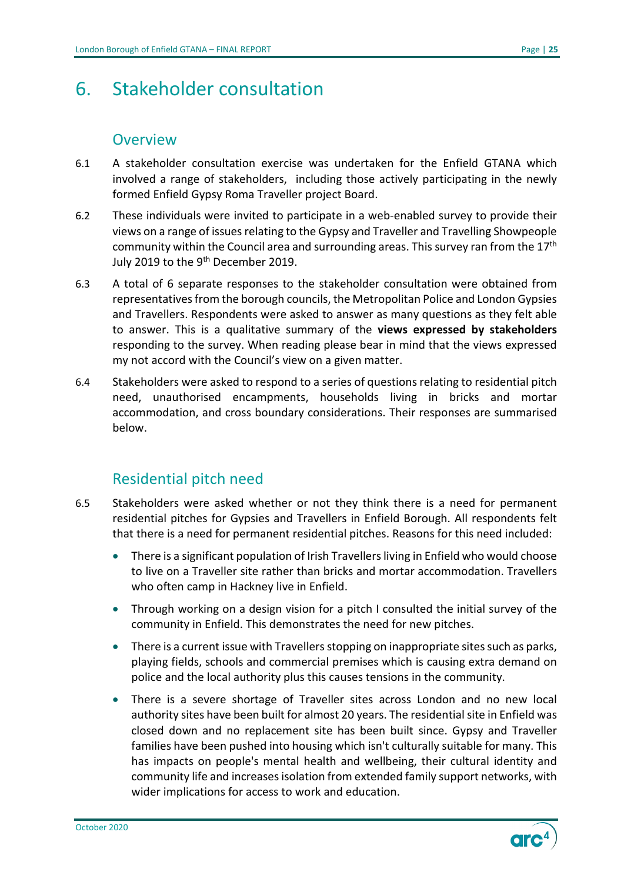## <span id="page-24-0"></span>6. Stakeholder consultation

## **Overview**

- <span id="page-24-1"></span>6.1 A stakeholder consultation exercise was undertaken for the Enfield GTANA which involved a range of stakeholders, including those actively participating in the newly formed Enfield Gypsy Roma Traveller project Board.
- 6.2 These individuals were invited to participate in a web-enabled survey to provide their views on a range of issues relating to the Gypsy and Traveller and Travelling Showpeople community within the Council area and surrounding areas. This survey ran from the  $17<sup>th</sup>$ July 2019 to the 9<sup>th</sup> December 2019.
- 6.3 A total of 6 separate responses to the stakeholder consultation were obtained from representatives from the borough councils, the Metropolitan Police and London Gypsies and Travellers. Respondents were asked to answer as many questions as they felt able to answer. This is a qualitative summary of the **views expressed by stakeholders** responding to the survey. When reading please bear in mind that the views expressed my not accord with the Council's view on a given matter.
- 6.4 Stakeholders were asked to respond to a series of questions relating to residential pitch need, unauthorised encampments, households living in bricks and mortar accommodation, and cross boundary considerations. Their responses are summarised below.

## Residential pitch need

- <span id="page-24-2"></span>6.5 Stakeholders were asked whether or not they think there is a need for permanent residential pitches for Gypsies and Travellers in Enfield Borough. All respondents felt that there is a need for permanent residential pitches. Reasons for this need included:
	- There is a significant population of Irish Travellers living in Enfield who would choose to live on a Traveller site rather than bricks and mortar accommodation. Travellers who often camp in Hackney live in Enfield.
	- Through working on a design vision for a pitch I consulted the initial survey of the community in Enfield. This demonstrates the need for new pitches.
	- There is a current issue with Travellers stopping on inappropriate sites such as parks, playing fields, schools and commercial premises which is causing extra demand on police and the local authority plus this causes tensions in the community.
	- There is a severe shortage of Traveller sites across London and no new local authority sites have been built for almost 20 years. The residential site in Enfield was closed down and no replacement site has been built since. Gypsy and Traveller families have been pushed into housing which isn't culturally suitable for many. This has impacts on people's mental health and wellbeing, their cultural identity and community life and increases isolation from extended family support networks, with wider implications for access to work and education.

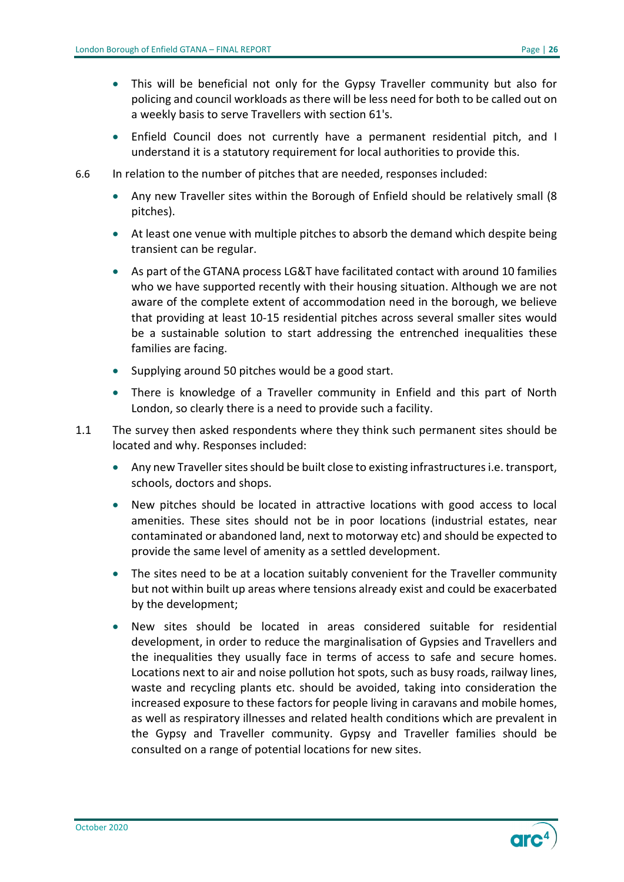- This will be beneficial not only for the Gypsy Traveller community but also for policing and council workloads as there will be less need for both to be called out on a weekly basis to serve Travellers with section 61's.
- Enfield Council does not currently have a permanent residential pitch, and I understand it is a statutory requirement for local authorities to provide this.
- 6.6 In relation to the number of pitches that are needed, responses included:
	- Any new Traveller sites within the Borough of Enfield should be relatively small (8 pitches).
	- At least one venue with multiple pitches to absorb the demand which despite being transient can be regular.
	- As part of the GTANA process LG&T have facilitated contact with around 10 families who we have supported recently with their housing situation. Although we are not aware of the complete extent of accommodation need in the borough, we believe that providing at least 10-15 residential pitches across several smaller sites would be a sustainable solution to start addressing the entrenched inequalities these families are facing.
	- Supplying around 50 pitches would be a good start.
	- There is knowledge of a Traveller community in Enfield and this part of North London, so clearly there is a need to provide such a facility.
- 1.1 The survey then asked respondents where they think such permanent sites should be located and why. Responses included:
	- Any new Traveller sites should be built close to existing infrastructures i.e. transport, schools, doctors and shops.
	- New pitches should be located in attractive locations with good access to local amenities. These sites should not be in poor locations (industrial estates, near contaminated or abandoned land, next to motorway etc) and should be expected to provide the same level of amenity as a settled development.
	- The sites need to be at a location suitably convenient for the Traveller community but not within built up areas where tensions already exist and could be exacerbated by the development;
	- New sites should be located in areas considered suitable for residential development, in order to reduce the marginalisation of Gypsies and Travellers and the inequalities they usually face in terms of access to safe and secure homes. Locations next to air and noise pollution hot spots, such as busy roads, railway lines, waste and recycling plants etc. should be avoided, taking into consideration the increased exposure to these factors for people living in caravans and mobile homes, as well as respiratory illnesses and related health conditions which are prevalent in the Gypsy and Traveller community. Gypsy and Traveller families should be consulted on a range of potential locations for new sites.

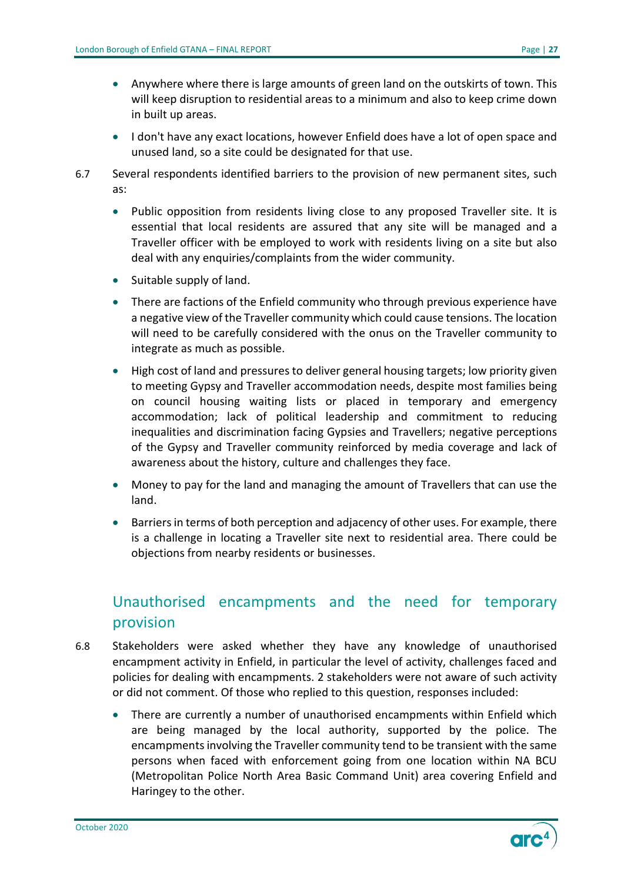- Anywhere where there is large amounts of green land on the outskirts of town. This will keep disruption to residential areas to a minimum and also to keep crime down in built up areas.
- I don't have any exact locations, however Enfield does have a lot of open space and unused land, so a site could be designated for that use.
- 6.7 Several respondents identified barriers to the provision of new permanent sites, such as:
	- Public opposition from residents living close to any proposed Traveller site. It is essential that local residents are assured that any site will be managed and a Traveller officer with be employed to work with residents living on a site but also deal with any enquiries/complaints from the wider community.
	- Suitable supply of land.
	- There are factions of the Enfield community who through previous experience have a negative view of the Traveller community which could cause tensions. The location will need to be carefully considered with the onus on the Traveller community to integrate as much as possible.
	- High cost of land and pressures to deliver general housing targets; low priority given to meeting Gypsy and Traveller accommodation needs, despite most families being on council housing waiting lists or placed in temporary and emergency accommodation; lack of political leadership and commitment to reducing inequalities and discrimination facing Gypsies and Travellers; negative perceptions of the Gypsy and Traveller community reinforced by media coverage and lack of awareness about the history, culture and challenges they face.
	- Money to pay for the land and managing the amount of Travellers that can use the land.
	- Barriers in terms of both perception and adjacency of other uses. For example, there is a challenge in locating a Traveller site next to residential area. There could be objections from nearby residents or businesses.

## <span id="page-26-0"></span>Unauthorised encampments and the need for temporary provision

- 6.8 Stakeholders were asked whether they have any knowledge of unauthorised encampment activity in Enfield, in particular the level of activity, challenges faced and policies for dealing with encampments. 2 stakeholders were not aware of such activity or did not comment. Of those who replied to this question, responses included:
	- There are currently a number of unauthorised encampments within Enfield which are being managed by the local authority, supported by the police. The encampmentsinvolving the Traveller community tend to be transient with the same persons when faced with enforcement going from one location within NA BCU (Metropolitan Police North Area Basic Command Unit) area covering Enfield and Haringey to the other.

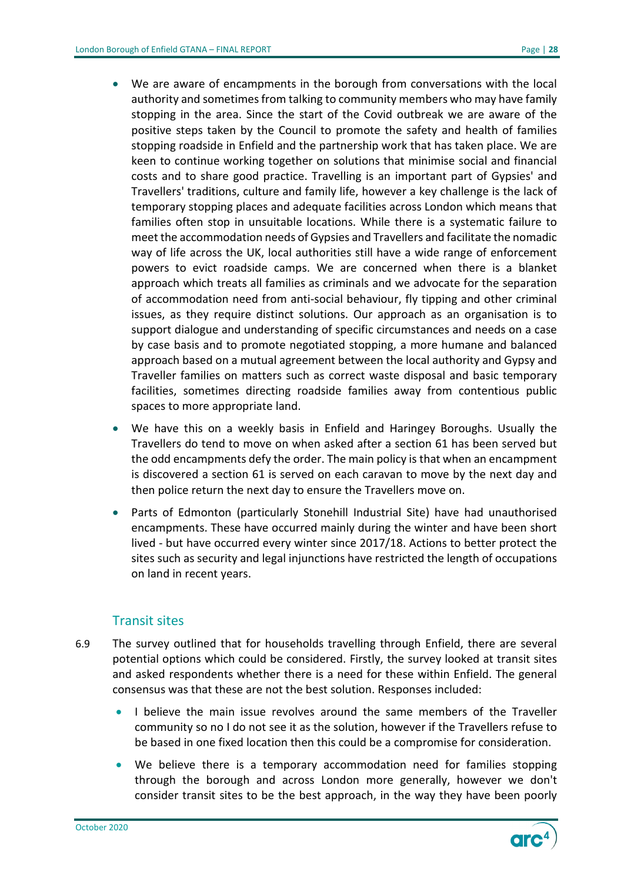- We are aware of encampments in the borough from conversations with the local authority and sometimes from talking to community members who may have family stopping in the area. Since the start of the Covid outbreak we are aware of the positive steps taken by the Council to promote the safety and health of families stopping roadside in Enfield and the partnership work that has taken place. We are keen to continue working together on solutions that minimise social and financial costs and to share good practice. Travelling is an important part of Gypsies' and Travellers' traditions, culture and family life, however a key challenge is the lack of temporary stopping places and adequate facilities across London which means that families often stop in unsuitable locations. While there is a systematic failure to meet the accommodation needs of Gypsies and Travellers and facilitate the nomadic way of life across the UK, local authorities still have a wide range of enforcement powers to evict roadside camps. We are concerned when there is a blanket approach which treats all families as criminals and we advocate for the separation of accommodation need from anti-social behaviour, fly tipping and other criminal issues, as they require distinct solutions. Our approach as an organisation is to support dialogue and understanding of specific circumstances and needs on a case by case basis and to promote negotiated stopping, a more humane and balanced approach based on a mutual agreement between the local authority and Gypsy and Traveller families on matters such as correct waste disposal and basic temporary facilities, sometimes directing roadside families away from contentious public spaces to more appropriate land.
- We have this on a weekly basis in Enfield and Haringey Boroughs. Usually the Travellers do tend to move on when asked after a section 61 has been served but the odd encampments defy the order. The main policy is that when an encampment is discovered a section 61 is served on each caravan to move by the next day and then police return the next day to ensure the Travellers move on.
- Parts of Edmonton (particularly Stonehill Industrial Site) have had unauthorised encampments. These have occurred mainly during the winter and have been short lived - but have occurred every winter since 2017/18. Actions to better protect the sites such as security and legal injunctions have restricted the length of occupations on land in recent years.

#### Transit sites

- 6.9 The survey outlined that for households travelling through Enfield, there are several potential options which could be considered. Firstly, the survey looked at transit sites and asked respondents whether there is a need for these within Enfield. The general consensus was that these are not the best solution. Responses included:
	- I believe the main issue revolves around the same members of the Traveller community so no I do not see it as the solution, however if the Travellers refuse to be based in one fixed location then this could be a compromise for consideration.
	- We believe there is a temporary accommodation need for families stopping through the borough and across London more generally, however we don't consider transit sites to be the best approach, in the way they have been poorly

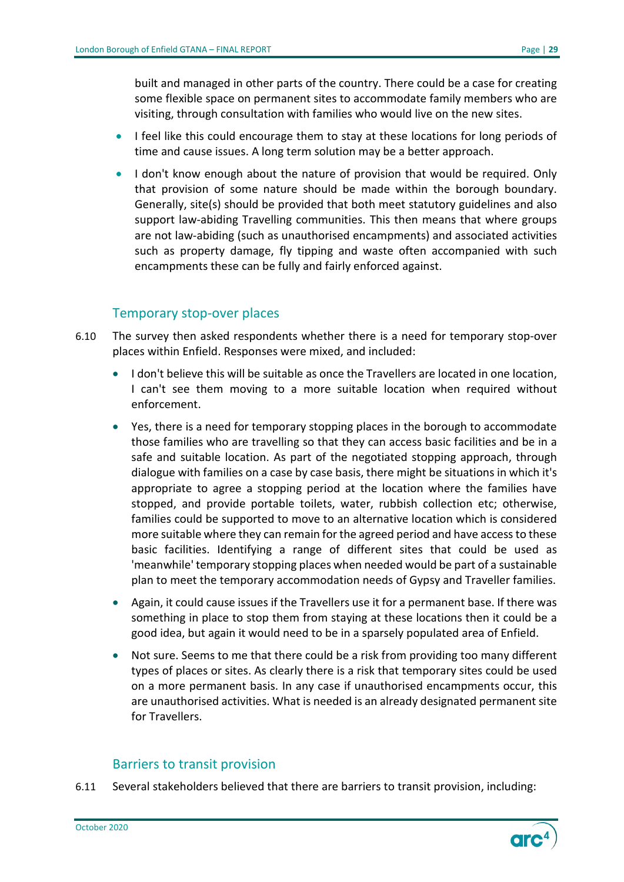built and managed in other parts of the country. There could be a case for creating some flexible space on permanent sites to accommodate family members who are visiting, through consultation with families who would live on the new sites.

- I feel like this could encourage them to stay at these locations for long periods of time and cause issues. A long term solution may be a better approach.
- I don't know enough about the nature of provision that would be required. Only that provision of some nature should be made within the borough boundary. Generally, site(s) should be provided that both meet statutory guidelines and also support law-abiding Travelling communities. This then means that where groups are not law-abiding (such as unauthorised encampments) and associated activities such as property damage, fly tipping and waste often accompanied with such encampments these can be fully and fairly enforced against.

#### Temporary stop-over places

- 6.10 The survey then asked respondents whether there is a need for temporary stop-over places within Enfield. Responses were mixed, and included:
	- I don't believe this will be suitable as once the Travellers are located in one location, I can't see them moving to a more suitable location when required without enforcement.
	- Yes, there is a need for temporary stopping places in the borough to accommodate those families who are travelling so that they can access basic facilities and be in a safe and suitable location. As part of the negotiated stopping approach, through dialogue with families on a case by case basis, there might be situations in which it's appropriate to agree a stopping period at the location where the families have stopped, and provide portable toilets, water, rubbish collection etc; otherwise, families could be supported to move to an alternative location which is considered more suitable where they can remain for the agreed period and have access to these basic facilities. Identifying a range of different sites that could be used as 'meanwhile' temporary stopping places when needed would be part of a sustainable plan to meet the temporary accommodation needs of Gypsy and Traveller families.
	- Again, it could cause issues if the Travellers use it for a permanent base. If there was something in place to stop them from staying at these locations then it could be a good idea, but again it would need to be in a sparsely populated area of Enfield.
	- Not sure. Seems to me that there could be a risk from providing too many different types of places or sites. As clearly there is a risk that temporary sites could be used on a more permanent basis. In any case if unauthorised encampments occur, this are unauthorised activities. What is needed is an already designated permanent site for Travellers.

#### Barriers to transit provision

6.11 Several stakeholders believed that there are barriers to transit provision, including:

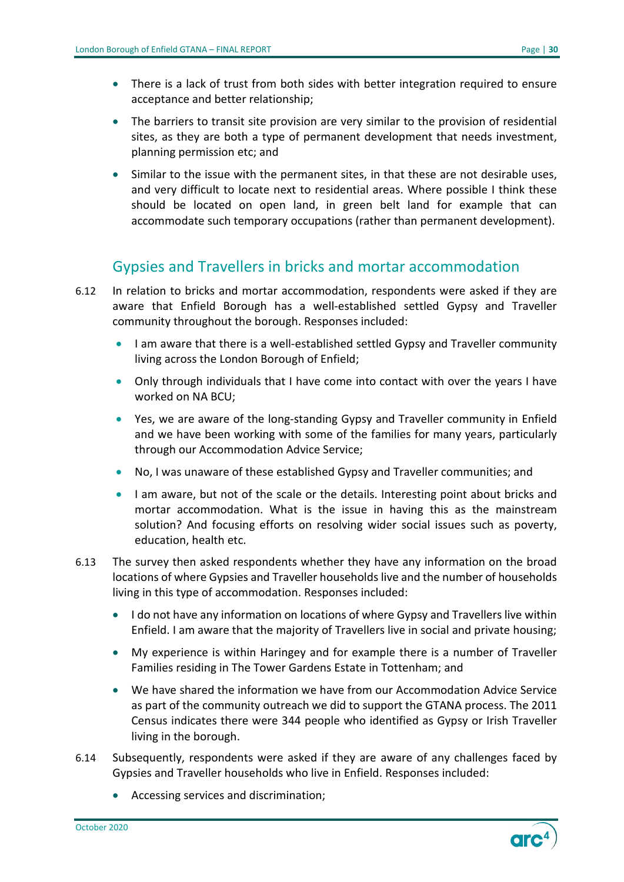- There is a lack of trust from both sides with better integration required to ensure acceptance and better relationship;
- The barriers to transit site provision are very similar to the provision of residential sites, as they are both a type of permanent development that needs investment, planning permission etc; and
- Similar to the issue with the permanent sites, in that these are not desirable uses, and very difficult to locate next to residential areas. Where possible I think these should be located on open land, in green belt land for example that can accommodate such temporary occupations (rather than permanent development).

## Gypsies and Travellers in bricks and mortar accommodation

- <span id="page-29-0"></span>6.12 In relation to bricks and mortar accommodation, respondents were asked if they are aware that Enfield Borough has a well-established settled Gypsy and Traveller community throughout the borough. Responses included:
	- I am aware that there is a well-established settled Gypsy and Traveller community living across the London Borough of Enfield;
	- Only through individuals that I have come into contact with over the years I have worked on NA BCU;
	- Yes, we are aware of the long-standing Gypsy and Traveller community in Enfield and we have been working with some of the families for many years, particularly through our Accommodation Advice Service;
	- No, I was unaware of these established Gypsy and Traveller communities; and
	- I am aware, but not of the scale or the details. Interesting point about bricks and mortar accommodation. What is the issue in having this as the mainstream solution? And focusing efforts on resolving wider social issues such as poverty, education, health etc.
- 6.13 The survey then asked respondents whether they have any information on the broad locations of where Gypsies and Traveller households live and the number of households living in this type of accommodation. Responses included:
	- I do not have any information on locations of where Gypsy and Travellers live within Enfield. I am aware that the majority of Travellers live in social and private housing;
	- My experience is within Haringey and for example there is a number of Traveller Families residing in The Tower Gardens Estate in Tottenham; and
	- We have shared the information we have from our Accommodation Advice Service as part of the community outreach we did to support the GTANA process. The 2011 Census indicates there were 344 people who identified as Gypsy or Irish Traveller living in the borough.
- 6.14 Subsequently, respondents were asked if they are aware of any challenges faced by Gypsies and Traveller households who live in Enfield. Responses included:
	- Accessing services and discrimination;

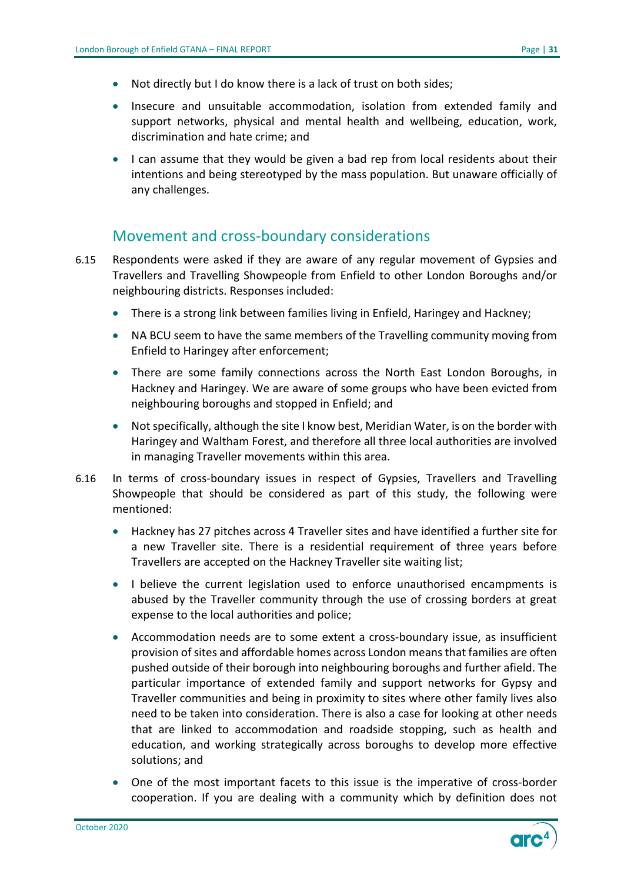- Not directly but I do know there is a lack of trust on both sides;
- Insecure and unsuitable accommodation, isolation from extended family and support networks, physical and mental health and wellbeing, education, work, discrimination and hate crime; and
- I can assume that they would be given a bad rep from local residents about their intentions and being stereotyped by the mass population. But unaware officially of any challenges.

## Movement and cross-boundary considerations

- <span id="page-30-0"></span>6.15 Respondents were asked if they are aware of any regular movement of Gypsies and Travellers and Travelling Showpeople from Enfield to other London Boroughs and/or neighbouring districts. Responses included:
	- There is a strong link between families living in Enfield, Haringey and Hackney;
	- NA BCU seem to have the same members of the Travelling community moving from Enfield to Haringey after enforcement;
	- There are some family connections across the North East London Boroughs, in Hackney and Haringey. We are aware of some groups who have been evicted from neighbouring boroughs and stopped in Enfield; and
	- Not specifically, although the site I know best, Meridian Water, is on the border with Haringey and Waltham Forest, and therefore all three local authorities are involved in managing Traveller movements within this area.
- 6.16 In terms of cross-boundary issues in respect of Gypsies, Travellers and Travelling Showpeople that should be considered as part of this study, the following were mentioned:
	- Hackney has 27 pitches across 4 Traveller sites and have identified a further site for a new Traveller site. There is a residential requirement of three years before Travellers are accepted on the Hackney Traveller site waiting list;
	- I believe the current legislation used to enforce unauthorised encampments is abused by the Traveller community through the use of crossing borders at great expense to the local authorities and police;
	- Accommodation needs are to some extent a cross-boundary issue, as insufficient provision of sites and affordable homes across London means that families are often pushed outside of their borough into neighbouring boroughs and further afield. The particular importance of extended family and support networks for Gypsy and Traveller communities and being in proximity to sites where other family lives also need to be taken into consideration. There is also a case for looking at other needs that are linked to accommodation and roadside stopping, such as health and education, and working strategically across boroughs to develop more effective solutions; and
	- One of the most important facets to this issue is the imperative of cross-border cooperation. If you are dealing with a community which by definition does not

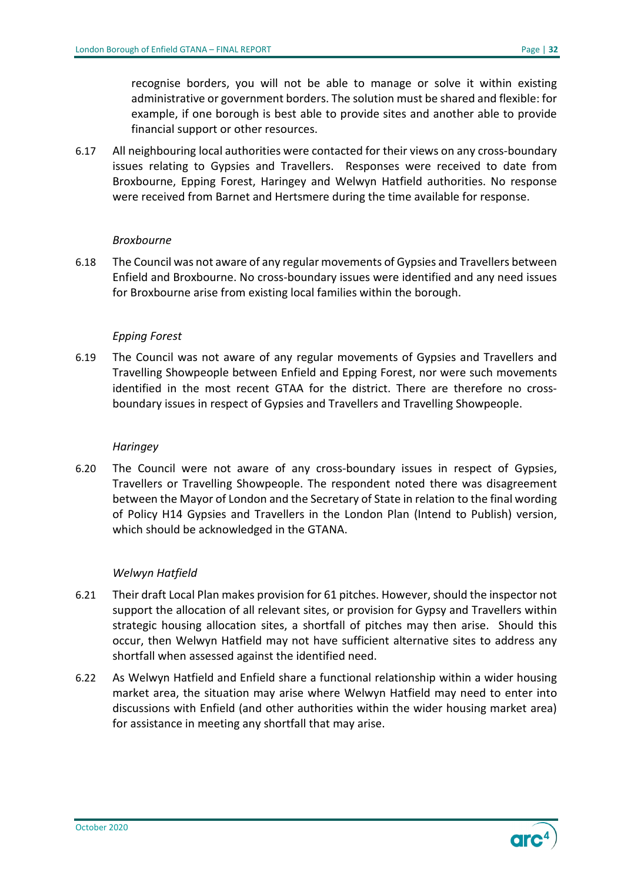recognise borders, you will not be able to manage or solve it within existing administrative or government borders. The solution must be shared and flexible: for example, if one borough is best able to provide sites and another able to provide financial support or other resources.

6.17 All neighbouring local authorities were contacted for their views on any cross-boundary issues relating to Gypsies and Travellers. Responses were received to date from Broxbourne, Epping Forest, Haringey and Welwyn Hatfield authorities. No response were received from Barnet and Hertsmere during the time available for response.

#### *Broxbourne*

6.18 The Council was not aware of any regular movements of Gypsies and Travellers between Enfield and Broxbourne. No cross-boundary issues were identified and any need issues for Broxbourne arise from existing local families within the borough.

#### *Epping Forest*

6.19 The Council was not aware of any regular movements of Gypsies and Travellers and Travelling Showpeople between Enfield and Epping Forest, nor were such movements identified in the most recent GTAA for the district. There are therefore no crossboundary issues in respect of Gypsies and Travellers and Travelling Showpeople.

#### *Haringey*

6.20 The Council were not aware of any cross-boundary issues in respect of Gypsies, Travellers or Travelling Showpeople. The respondent noted there was disagreement between the Mayor of London and the Secretary of State in relation to the final wording of Policy H14 Gypsies and Travellers in the London Plan (Intend to Publish) version, which should be acknowledged in the GTANA.

#### *Welwyn Hatfield*

- 6.21 Their draft Local Plan makes provision for 61 pitches. However, should the inspector not support the allocation of all relevant sites, or provision for Gypsy and Travellers within strategic housing allocation sites, a shortfall of pitches may then arise. Should this occur, then Welwyn Hatfield may not have sufficient alternative sites to address any shortfall when assessed against the identified need.
- 6.22 As Welwyn Hatfield and Enfield share a functional relationship within a wider housing market area, the situation may arise where Welwyn Hatfield may need to enter into discussions with Enfield (and other authorities within the wider housing market area) for assistance in meeting any shortfall that may arise.

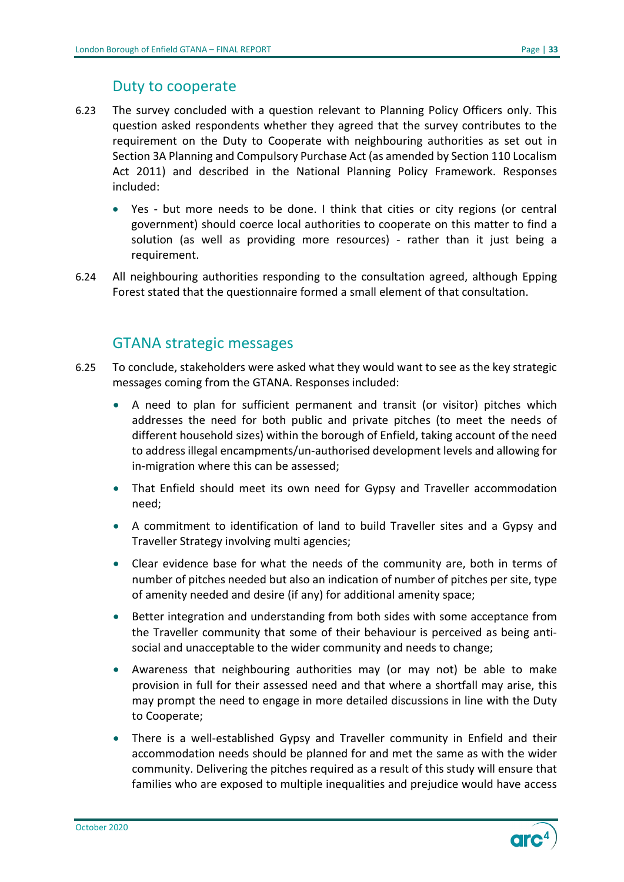### Duty to cooperate

- <span id="page-32-0"></span>6.23 The survey concluded with a question relevant to Planning Policy Officers only. This question asked respondents whether they agreed that the survey contributes to the requirement on the Duty to Cooperate with neighbouring authorities as set out in Section 3A Planning and Compulsory Purchase Act (as amended by Section 110 Localism Act 2011) and described in the National Planning Policy Framework. Responses included:
	- Yes but more needs to be done. I think that cities or city regions (or central government) should coerce local authorities to cooperate on this matter to find a solution (as well as providing more resources) - rather than it just being a requirement.
- 6.24 All neighbouring authorities responding to the consultation agreed, although Epping Forest stated that the questionnaire formed a small element of that consultation.

#### GTANA strategic messages

- <span id="page-32-1"></span>6.25 To conclude, stakeholders were asked what they would want to see as the key strategic messages coming from the GTANA. Responses included:
	- A need to plan for sufficient permanent and transit (or visitor) pitches which addresses the need for both public and private pitches (to meet the needs of different household sizes) within the borough of Enfield, taking account of the need to address illegal encampments/un-authorised development levels and allowing for in-migration where this can be assessed;
	- That Enfield should meet its own need for Gypsy and Traveller accommodation need;
	- A commitment to identification of land to build Traveller sites and a Gypsy and Traveller Strategy involving multi agencies;
	- Clear evidence base for what the needs of the community are, both in terms of number of pitches needed but also an indication of number of pitches per site, type of amenity needed and desire (if any) for additional amenity space;
	- Better integration and understanding from both sides with some acceptance from the Traveller community that some of their behaviour is perceived as being antisocial and unacceptable to the wider community and needs to change;
	- Awareness that neighbouring authorities may (or may not) be able to make provision in full for their assessed need and that where a shortfall may arise, this may prompt the need to engage in more detailed discussions in line with the Duty to Cooperate;
	- There is a well-established Gypsy and Traveller community in Enfield and their accommodation needs should be planned for and met the same as with the wider community. Delivering the pitches required as a result of this study will ensure that families who are exposed to multiple inequalities and prejudice would have access

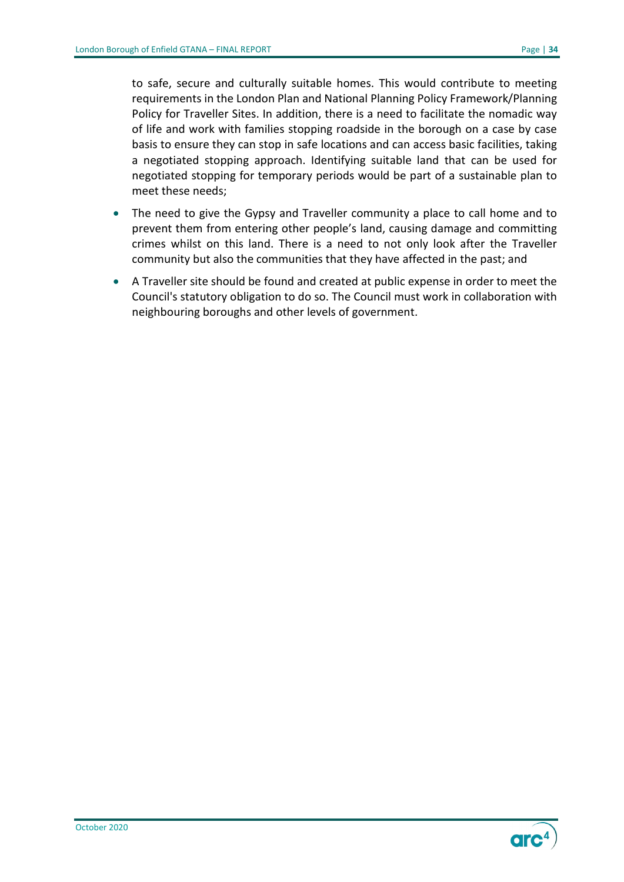to safe, secure and culturally suitable homes. This would contribute to meeting requirements in the London Plan and National Planning Policy Framework/Planning Policy for Traveller Sites. In addition, there is a need to facilitate the nomadic way of life and work with families stopping roadside in the borough on a case by case basis to ensure they can stop in safe locations and can access basic facilities, taking a negotiated stopping approach. Identifying suitable land that can be used for negotiated stopping for temporary periods would be part of a sustainable plan to meet these needs;

- The need to give the Gypsy and Traveller community a place to call home and to prevent them from entering other people's land, causing damage and committing crimes whilst on this land. There is a need to not only look after the Traveller community but also the communities that they have affected in the past; and
- A Traveller site should be found and created at public expense in order to meet the Council's statutory obligation to do so. The Council must work in collaboration with neighbouring boroughs and other levels of government.

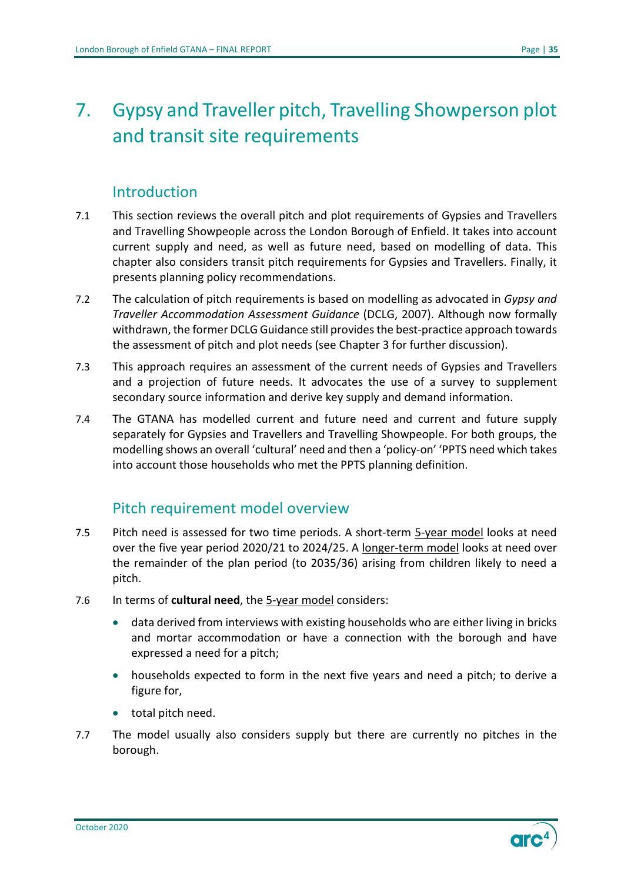# <span id="page-34-0"></span>7. Gypsy and Traveller pitch, Travelling Showperson plot and transit site requirements

## **Introduction**

- <span id="page-34-1"></span>7.1 This section reviews the overall pitch and plot requirements of Gypsies and Travellers and Travelling Showpeople across the London Borough of Enfield. It takes into account current supply and need, as well as future need, based on modelling of data. This chapter also considers transit pitch requirements for Gypsies and Travellers. Finally, it presents planning policy recommendations.
- 7.2 The calculation of pitch requirements is based on modelling as advocated in *Gypsy and Traveller Accommodation Assessment Guidance* (DCLG, 2007). Although now formally withdrawn, the former DCLG Guidance still provides the best-practice approach towards the assessment of pitch and plot needs (see Chapter 3 for further discussion).
- 7.3 This approach requires an assessment of the current needs of Gypsies and Travellers and a projection of future needs. It advocates the use of a survey to supplement secondary source information and derive key supply and demand information.
- 7.4 The GTANA has modelled current and future need and current and future supply separately for Gypsies and Travellers and Travelling Showpeople. For both groups, the modelling shows an overall 'cultural' need and then a 'policy-on' 'PPTS need which takes into account those households who met the PPTS planning definition.

## Pitch requirement model overview

- <span id="page-34-2"></span>7.5 Pitch need is assessed for two time periods. A short-term 5-year model looks at need over the five year period 2020/21 to 2024/25. A longer-term model looks at need over the remainder of the plan period (to 2035/36) arising from children likely to need a pitch.
- 7.6 In terms of **cultural need**, the 5-year model considers:
	- data derived from interviews with existing households who are either living in bricks and mortar accommodation or have a connection with the borough and have expressed a need for a pitch;
	- households expected to form in the next five years and need a pitch; to derive a figure for,
	- total pitch need.
- 7.7 The model usually also considers supply but there are currently no pitches in the borough.

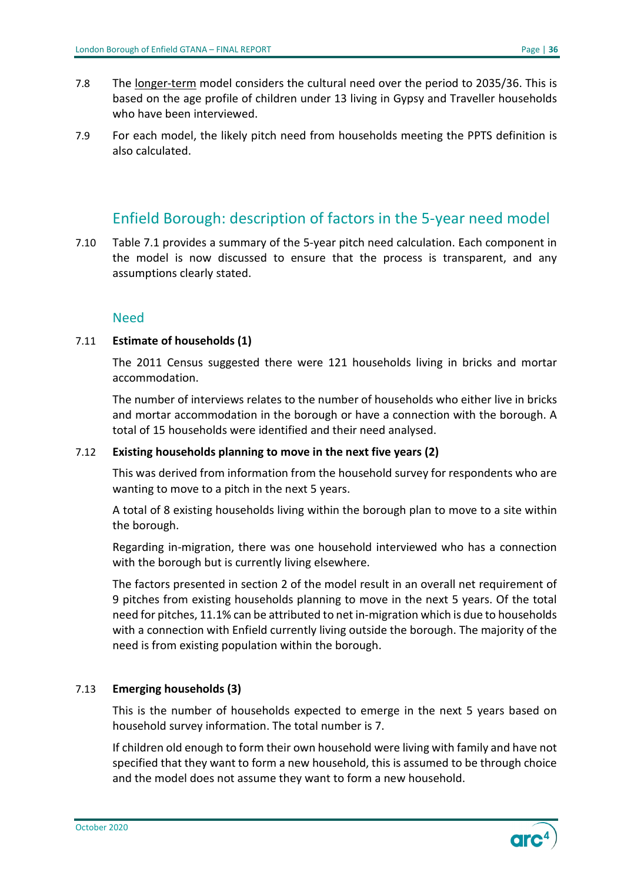- 7.8 The longer-term model considers the cultural need over the period to 2035/36. This is based on the age profile of children under 13 living in Gypsy and Traveller households who have been interviewed.
- 7.9 For each model, the likely pitch need from households meeting the PPTS definition is also calculated.

## Enfield Borough: description of factors in the 5-year need model

<span id="page-35-0"></span>7.10 Table 7.1 provides a summary of the 5-year pitch need calculation. Each component in the model is now discussed to ensure that the process is transparent, and any assumptions clearly stated.

#### Need

#### 7.11 **Estimate of households (1)**

The 2011 Census suggested there were 121 households living in bricks and mortar accommodation.

The number of interviews relates to the number of households who either live in bricks and mortar accommodation in the borough or have a connection with the borough. A total of 15 households were identified and their need analysed.

#### 7.12 **Existing households planning to move in the next five years (2)**

This was derived from information from the household survey for respondents who are wanting to move to a pitch in the next 5 years.

A total of 8 existing households living within the borough plan to move to a site within the borough.

Regarding in-migration, there was one household interviewed who has a connection with the borough but is currently living elsewhere.

The factors presented in section 2 of the model result in an overall net requirement of 9 pitches from existing households planning to move in the next 5 years. Of the total need for pitches, 11.1% can be attributed to net in-migration which is due to households with a connection with Enfield currently living outside the borough. The majority of the need is from existing population within the borough.

#### 7.13 **Emerging households (3)**

This is the number of households expected to emerge in the next 5 years based on household survey information. The total number is 7.

If children old enough to form their own household were living with family and have not specified that they want to form a new household, this is assumed to be through choice and the model does not assume they want to form a new household.

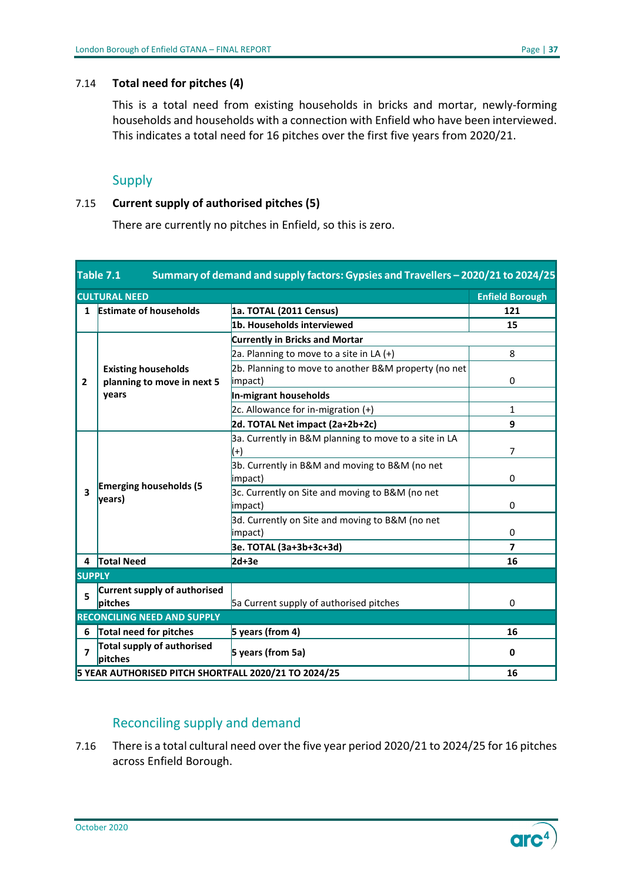#### 7.14 **Total need for pitches (4)**

This is a total need from existing households in bricks and mortar, newly-forming households and households with a connection with Enfield who have been interviewed. This indicates a total need for 16 pitches over the first five years from 2020/21.

#### Supply

#### 7.15 **Current supply of authorised pitches (5)**

There are currently no pitches in Enfield, so this is zero.

<span id="page-36-0"></span>

| Summary of demand and supply factors: Gypsies and Travellers - 2020/21 to 2024/25<br>Table 7.1 |                                                            |                                                                   |                         |  |  |  |
|------------------------------------------------------------------------------------------------|------------------------------------------------------------|-------------------------------------------------------------------|-------------------------|--|--|--|
|                                                                                                | <b>CULTURAL NEED</b><br><b>Enfield Borough</b>             |                                                                   |                         |  |  |  |
| 1                                                                                              | <b>Estimate of households</b>                              | 1a. TOTAL (2011 Census)                                           | 121                     |  |  |  |
|                                                                                                |                                                            | 1b. Households interviewed                                        | 15                      |  |  |  |
|                                                                                                |                                                            | <b>Currently in Bricks and Mortar</b>                             |                         |  |  |  |
|                                                                                                |                                                            | 2a. Planning to move to a site in LA $(+)$                        | 8                       |  |  |  |
| 2                                                                                              | <b>Existing households</b><br>planning to move in next 5   | 2b. Planning to move to another B&M property (no net<br>impact)   | 0                       |  |  |  |
|                                                                                                | years                                                      | In-migrant households                                             |                         |  |  |  |
|                                                                                                |                                                            | 2c. Allowance for in-migration (+)                                | 1                       |  |  |  |
|                                                                                                |                                                            | 2d. TOTAL Net impact (2a+2b+2c)                                   | 9                       |  |  |  |
|                                                                                                |                                                            | 3a. Currently in B&M planning to move to a site in LA<br>$^{(+)}$ | $\overline{7}$          |  |  |  |
|                                                                                                | <b>Emerging households (5</b><br>years)                    | 3b. Currently in B&M and moving to B&M (no net<br>impact)         | 0                       |  |  |  |
| $\overline{\mathbf{3}}$                                                                        |                                                            | 3c. Currently on Site and moving to B&M (no net<br>impact)        | 0                       |  |  |  |
|                                                                                                |                                                            | 3d. Currently on Site and moving to B&M (no net<br>impact)        | 0                       |  |  |  |
|                                                                                                |                                                            | 3e. TOTAL (3a+3b+3c+3d)                                           | $\overline{\mathbf{z}}$ |  |  |  |
|                                                                                                | 4 Total Need                                               | $2d+3e$                                                           | 16                      |  |  |  |
| <b>SUPPLY</b>                                                                                  |                                                            |                                                                   |                         |  |  |  |
| 5                                                                                              | <b>Current supply of authorised</b><br>pitches             | 5a Current supply of authorised pitches                           | $\Omega$                |  |  |  |
| <b>RECONCILING NEED AND SUPPLY</b>                                                             |                                                            |                                                                   |                         |  |  |  |
| 6                                                                                              | Total need for pitches                                     | 5 years (from 4)                                                  | 16                      |  |  |  |
| 7                                                                                              | Total supply of authorised<br>pitches                      | 5 years (from 5a)                                                 | 0                       |  |  |  |
|                                                                                                | 5 YEAR AUTHORISED PITCH SHORTFALL 2020/21 TO 2024/25<br>16 |                                                                   |                         |  |  |  |

#### Reconciling supply and demand

7.16 There is a total cultural need over the five year period 2020/21 to 2024/25 for 16 pitches across Enfield Borough.

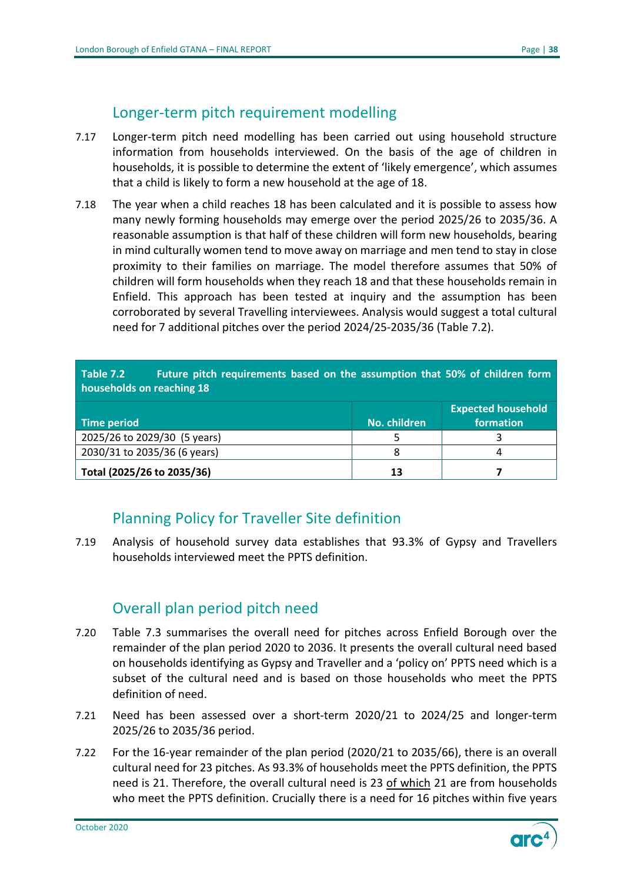## Longer-term pitch requirement modelling

- <span id="page-37-0"></span>7.17 Longer-term pitch need modelling has been carried out using household structure information from households interviewed. On the basis of the age of children in households, it is possible to determine the extent of 'likely emergence', which assumes that a child is likely to form a new household at the age of 18.
- 7.18 The year when a child reaches 18 has been calculated and it is possible to assess how many newly forming households may emerge over the period 2025/26 to 2035/36. A reasonable assumption is that half of these children will form new households, bearing in mind culturally women tend to move away on marriage and men tend to stay in close proximity to their families on marriage. The model therefore assumes that 50% of children will form households when they reach 18 and that these households remain in Enfield. This approach has been tested at inquiry and the assumption has been corroborated by several Travelling interviewees. Analysis would suggest a total cultural need for 7 additional pitches over the period 2024/25-2035/36 (Table 7.2).

<span id="page-37-3"></span>

| Table 7.2<br>Future pitch requirements based on the assumption that 50% of children form<br>households on reaching 18 |              |           |  |  |  |
|-----------------------------------------------------------------------------------------------------------------------|--------------|-----------|--|--|--|
| <b>Expected household</b>                                                                                             |              |           |  |  |  |
| Time period                                                                                                           | No. children | formation |  |  |  |
| 2025/26 to 2029/30 (5 years)                                                                                          |              |           |  |  |  |
| 2030/31 to 2035/36 (6 years)                                                                                          | 8            |           |  |  |  |
| Total (2025/26 to 2035/36)                                                                                            | 13           |           |  |  |  |

## Planning Policy for Traveller Site definition

<span id="page-37-1"></span>7.19 Analysis of household survey data establishes that 93.3% of Gypsy and Travellers households interviewed meet the PPTS definition.

## Overall plan period pitch need

- <span id="page-37-2"></span>7.20 Table 7.3 summarises the overall need for pitches across Enfield Borough over the remainder of the plan period 2020 to 2036. It presents the overall cultural need based on households identifying as Gypsy and Traveller and a 'policy on' PPTS need which is a subset of the cultural need and is based on those households who meet the PPTS definition of need.
- 7.21 Need has been assessed over a short-term 2020/21 to 2024/25 and longer-term 2025/26 to 2035/36 period.
- 7.22 For the 16-year remainder of the plan period (2020/21 to 2035/66), there is an overall cultural need for 23 pitches. As 93.3% of households meet the PPTS definition, the PPTS need is 21. Therefore, the overall cultural need is 23 of which 21 are from households who meet the PPTS definition. Crucially there is a need for 16 pitches within five years

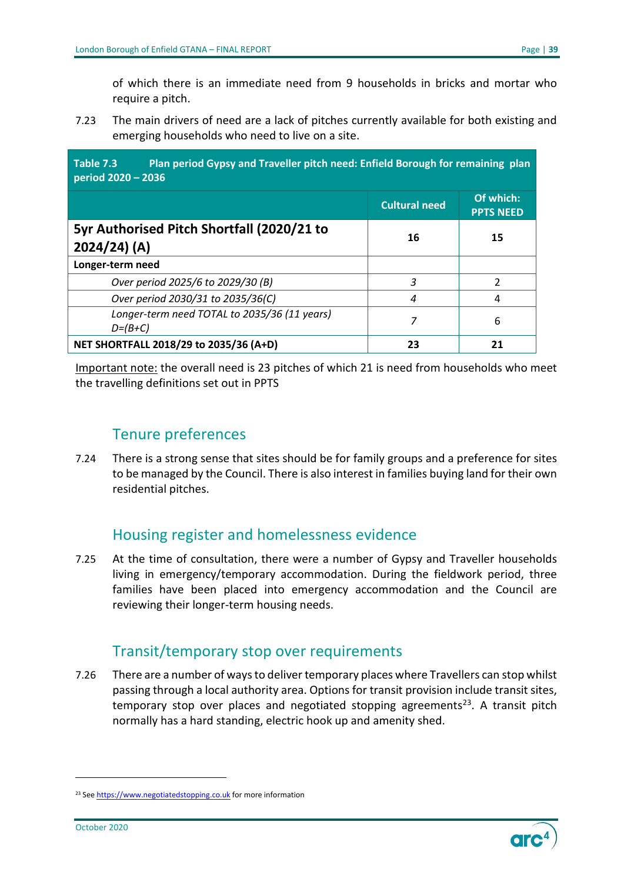of which there is an immediate need from 9 households in bricks and mortar who require a pitch.

7.23 The main drivers of need are a lack of pitches currently available for both existing and emerging households who need to live on a site.

<span id="page-38-3"></span>**Table 7.3 Plan period Gypsy and Traveller pitch need: Enfield Borough for remaining plan period 2020 – 2036 Cultural need Of which: PPTS NEED 5yr Authorised Pitch Shortfall (2020/21 to 2024/24) (A) <sup>16</sup> <sup>15</sup> Longer-term need**  *Over period 2025/6 to 2029/30 (B) 3* 2 *Over period 2030/31 to 2035/36(C)* 4 4 4 4 4 *Longer-term need TOTAL to 2035/36 (11 years) D=(B+C) <sup>7</sup>* <sup>6</sup> **NET SHORTFALL 2018/29 to 2035/36 (A+D) 23 21**

Important note: the overall need is 23 pitches of which 21 is need from households who meet the travelling definitions set out in PPTS

## Tenure preferences

<span id="page-38-0"></span>7.24 There is a strong sense that sites should be for family groups and a preference for sites to be managed by the Council. There is also interest in families buying land for their own residential pitches.

## Housing register and homelessness evidence

<span id="page-38-1"></span>7.25 At the time of consultation, there were a number of Gypsy and Traveller households living in emergency/temporary accommodation. During the fieldwork period, three families have been placed into emergency accommodation and the Council are reviewing their longer-term housing needs.

## Transit/temporary stop over requirements

<span id="page-38-2"></span>7.26 There are a number of ways to deliver temporary places where Travellers can stop whilst passing through a local authority area. Options for transit provision include transit sites, temporary stop over places and negotiated stopping agreements<sup>23</sup>. A transit pitch normally has a hard standing, electric hook up and amenity shed.



<span id="page-38-4"></span><sup>&</sup>lt;sup>23</sup> Se[e https://www.negotiatedstopping.co.uk](https://www.negotiatedstopping.co.uk/) for more information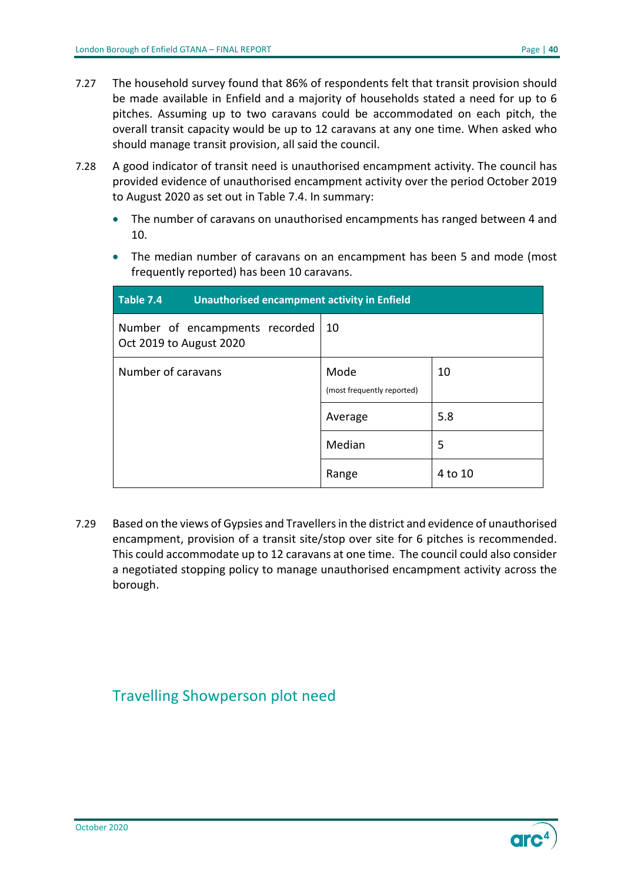- 7.27 The household survey found that 86% of respondents felt that transit provision should be made available in Enfield and a majority of households stated a need for up to 6 pitches. Assuming up to two caravans could be accommodated on each pitch, the overall transit capacity would be up to 12 caravans at any one time. When asked who should manage transit provision, all said the council.
- 7.28 A good indicator of transit need is unauthorised encampment activity. The council has provided evidence of unauthorised encampment activity over the period October 2019 to August 2020 as set out in Table 7.4. In summary:
	- The number of caravans on unauthorised encampments has ranged between 4 and 10.
	- The median number of caravans on an encampment has been 5 and mode (most frequently reported) has been 10 caravans.

<span id="page-39-1"></span>

| Table 7.4<br><b>Unauthorised encampment activity in Enfield</b> |                                    |         |
|-----------------------------------------------------------------|------------------------------------|---------|
| Number of encampments recorded<br>Oct 2019 to August 2020       | 10                                 |         |
| Number of caravans                                              | Mode<br>(most frequently reported) | 10      |
|                                                                 | Average                            | 5.8     |
|                                                                 | Median                             | 5       |
|                                                                 | Range                              | 4 to 10 |

7.29 Based on the views of Gypsies and Travellers in the district and evidence of unauthorised encampment, provision of a transit site/stop over site for 6 pitches is recommended. This could accommodate up to 12 caravans at one time. The council could also consider a negotiated stopping policy to manage unauthorised encampment activity across the borough.

## <span id="page-39-0"></span>Travelling Showperson plot need

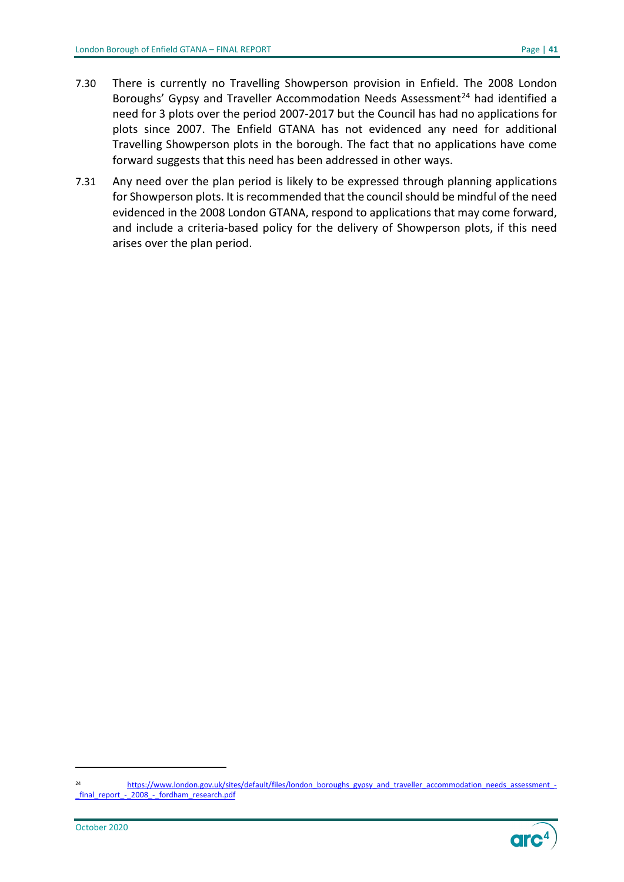- 7.30 There is currently no Travelling Showperson provision in Enfield. The 2008 London Boroughs' Gypsy and Traveller Accommodation Needs Assessment<sup>[24](#page-40-0)</sup> had identified a need for 3 plots over the period 2007-2017 but the Council has had no applications for plots since 2007. The Enfield GTANA has not evidenced any need for additional Travelling Showperson plots in the borough. The fact that no applications have come forward suggests that this need has been addressed in other ways.
- 7.31 Any need over the plan period is likely to be expressed through planning applications for Showperson plots. It is recommended that the council should be mindful of the need evidenced in the 2008 London GTANA, respond to applications that may come forward, and include a criteria-based policy for the delivery of Showperson plots, if this need arises over the plan period.

<span id="page-40-0"></span><sup>24</sup> [https://www.london.gov.uk/sites/default/files/london\\_boroughs\\_gypsy\\_and\\_traveller\\_accommodation\\_needs\\_assessment\\_-](https://www.london.gov.uk/sites/default/files/london_boroughs_gypsy_and_traveller_accommodation_needs_assessment_-_final_report_-_2008_-_fordham_research.pdf) [\\_final\\_report\\_-\\_2008\\_-\\_fordham\\_research.pdf](https://www.london.gov.uk/sites/default/files/london_boroughs_gypsy_and_traveller_accommodation_needs_assessment_-_final_report_-_2008_-_fordham_research.pdf)

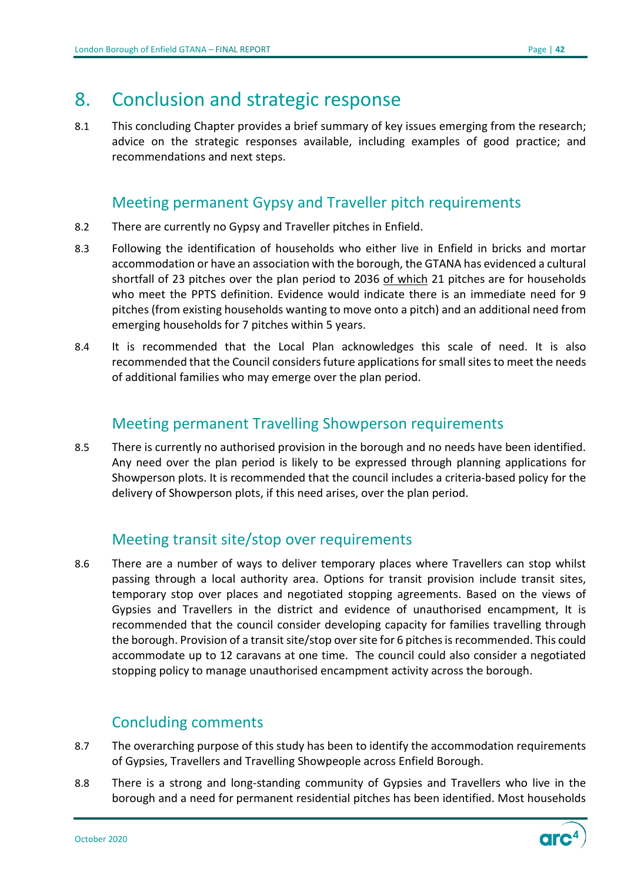## <span id="page-41-0"></span>8. Conclusion and strategic response

8.1 This concluding Chapter provides a brief summary of key issues emerging from the research; advice on the strategic responses available, including examples of good practice; and recommendations and next steps.

## Meeting permanent Gypsy and Traveller pitch requirements

- <span id="page-41-1"></span>8.2 There are currently no Gypsy and Traveller pitches in Enfield.
- 8.3 Following the identification of households who either live in Enfield in bricks and mortar accommodation or have an association with the borough, the GTANA has evidenced a cultural shortfall of 23 pitches over the plan period to 2036 of which 21 pitches are for households who meet the PPTS definition. Evidence would indicate there is an immediate need for 9 pitches (from existing households wanting to move onto a pitch) and an additional need from emerging households for 7 pitches within 5 years.
- 8.4 It is recommended that the Local Plan acknowledges this scale of need. It is also recommended that the Council considers future applications for small sites to meet the needs of additional families who may emerge over the plan period.

## Meeting permanent Travelling Showperson requirements

<span id="page-41-2"></span>8.5 There is currently no authorised provision in the borough and no needs have been identified. Any need over the plan period is likely to be expressed through planning applications for Showperson plots. It is recommended that the council includes a criteria-based policy for the delivery of Showperson plots, if this need arises, over the plan period.

## Meeting transit site/stop over requirements

<span id="page-41-3"></span>8.6 There are a number of ways to deliver temporary places where Travellers can stop whilst passing through a local authority area. Options for transit provision include transit sites, temporary stop over places and negotiated stopping agreements. Based on the views of Gypsies and Travellers in the district and evidence of unauthorised encampment, It is recommended that the council consider developing capacity for families travelling through the borough. Provision of a transit site/stop over site for 6 pitches is recommended. This could accommodate up to 12 caravans at one time. The council could also consider a negotiated stopping policy to manage unauthorised encampment activity across the borough.

## Concluding comments

- <span id="page-41-4"></span>8.7 The overarching purpose of this study has been to identify the accommodation requirements of Gypsies, Travellers and Travelling Showpeople across Enfield Borough.
- 8.8 There is a strong and long-standing community of Gypsies and Travellers who live in the borough and a need for permanent residential pitches has been identified. Most households

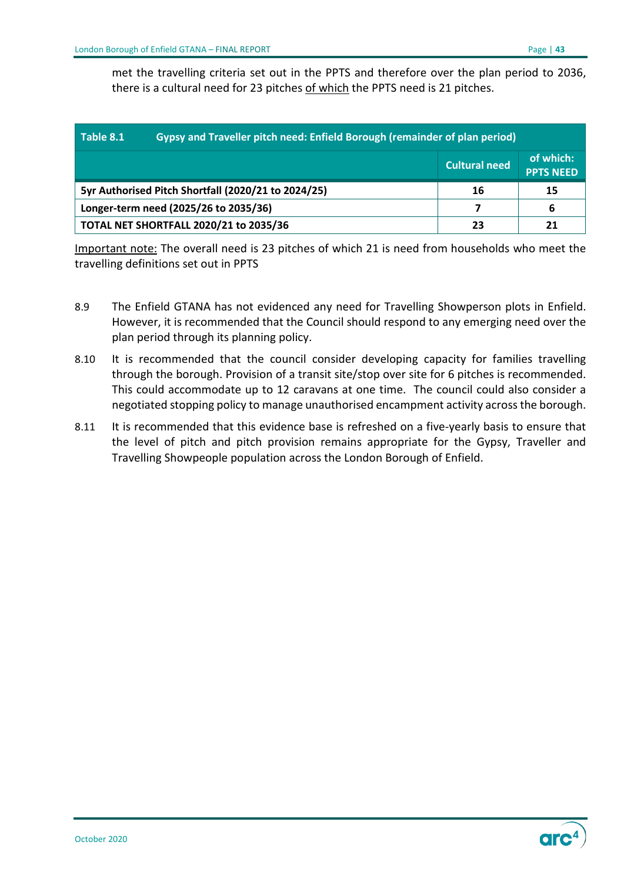met the travelling criteria set out in the PPTS and therefore over the plan period to 2036, there is a cultural need for 23 pitches of which the PPTS need is 21 pitches.

<span id="page-42-0"></span>

| Gypsy and Traveller pitch need: Enfield Borough (remainder of plan period)<br>Table 8.1 |                                       |                      |                               |  |
|-----------------------------------------------------------------------------------------|---------------------------------------|----------------------|-------------------------------|--|
|                                                                                         |                                       | <b>Cultural need</b> | of which:<br><b>PPTS NEED</b> |  |
| 5yr Authorised Pitch Shortfall (2020/21 to 2024/25)                                     |                                       | 16                   | 15                            |  |
|                                                                                         | Longer-term need (2025/26 to 2035/36) |                      | 6                             |  |
| <b>TOTAL NET SHORTFALL 2020/21 to 2035/36</b>                                           |                                       | 23                   | 21                            |  |

Important note: The overall need is 23 pitches of which 21 is need from households who meet the travelling definitions set out in PPTS

- 8.9 The Enfield GTANA has not evidenced any need for Travelling Showperson plots in Enfield. However, it is recommended that the Council should respond to any emerging need over the plan period through its planning policy.
- 8.10 It is recommended that the council consider developing capacity for families travelling through the borough. Provision of a transit site/stop over site for 6 pitches is recommended. This could accommodate up to 12 caravans at one time. The council could also consider a negotiated stopping policy to manage unauthorised encampment activity across the borough.
- 8.11 It is recommended that this evidence base is refreshed on a five-yearly basis to ensure that the level of pitch and pitch provision remains appropriate for the Gypsy, Traveller and Travelling Showpeople population across the London Borough of Enfield.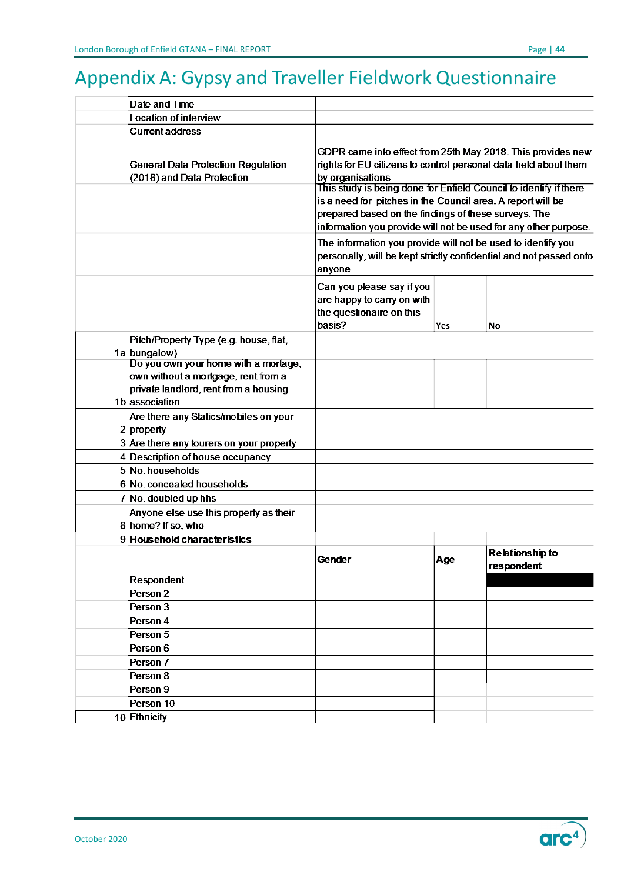# <span id="page-43-0"></span>Appendix A: Gypsy and Traveller Fieldwork Questionnaire

| Date and Time                                                                                                        |                                                                                                                                                                                                                                                                                                                                                                                                                                                                                                                                                         |     |                                      |  |
|----------------------------------------------------------------------------------------------------------------------|---------------------------------------------------------------------------------------------------------------------------------------------------------------------------------------------------------------------------------------------------------------------------------------------------------------------------------------------------------------------------------------------------------------------------------------------------------------------------------------------------------------------------------------------------------|-----|--------------------------------------|--|
| Location of interview                                                                                                |                                                                                                                                                                                                                                                                                                                                                                                                                                                                                                                                                         |     |                                      |  |
| <b>Current address</b>                                                                                               |                                                                                                                                                                                                                                                                                                                                                                                                                                                                                                                                                         |     |                                      |  |
| <b>General Data Protection Regulation</b><br>(2018) and Data Protection                                              | GDPR came into effect from 25th May 2018. This provides new<br>rights for EU citizens to control personal data held about them<br>by organisations<br>This study is being done for Enfield Council to identify if there<br>is a need for pitches in the Council area. A report will be<br>prepared based on the findings of these surveys. The<br>information you provide will not be used for any other purpose.<br>The information you provide will not be used to identify you<br>personally, will be kept strictly confidential and not passed onto |     |                                      |  |
|                                                                                                                      | anyone<br>Can you please say if you<br>are happy to carry on with<br>the questionaire on this<br>basis?                                                                                                                                                                                                                                                                                                                                                                                                                                                 | Yes | No                                   |  |
| Pitch/Property Type (e.g. house, flat,                                                                               |                                                                                                                                                                                                                                                                                                                                                                                                                                                                                                                                                         |     |                                      |  |
| $1a $ bungalow)                                                                                                      |                                                                                                                                                                                                                                                                                                                                                                                                                                                                                                                                                         |     |                                      |  |
| Do you own your home with a mortage,<br>own without a mortgage, rent from a<br>private landlord, rent from a housing |                                                                                                                                                                                                                                                                                                                                                                                                                                                                                                                                                         |     |                                      |  |
| 1b association                                                                                                       |                                                                                                                                                                                                                                                                                                                                                                                                                                                                                                                                                         |     |                                      |  |
| Are there any Statics/mobiles on your                                                                                |                                                                                                                                                                                                                                                                                                                                                                                                                                                                                                                                                         |     |                                      |  |
| $2$ property                                                                                                         |                                                                                                                                                                                                                                                                                                                                                                                                                                                                                                                                                         |     |                                      |  |
| 3 Are there any tourers on your property                                                                             |                                                                                                                                                                                                                                                                                                                                                                                                                                                                                                                                                         |     |                                      |  |
| 4 Description of house occupancy                                                                                     |                                                                                                                                                                                                                                                                                                                                                                                                                                                                                                                                                         |     |                                      |  |
| 5 No. households                                                                                                     |                                                                                                                                                                                                                                                                                                                                                                                                                                                                                                                                                         |     |                                      |  |
| 6 No. concealed households                                                                                           |                                                                                                                                                                                                                                                                                                                                                                                                                                                                                                                                                         |     |                                      |  |
| 7 No. doubled up hhs                                                                                                 |                                                                                                                                                                                                                                                                                                                                                                                                                                                                                                                                                         |     |                                      |  |
| Anyone else use this property as their                                                                               |                                                                                                                                                                                                                                                                                                                                                                                                                                                                                                                                                         |     |                                      |  |
| 8 home? If so, who                                                                                                   |                                                                                                                                                                                                                                                                                                                                                                                                                                                                                                                                                         |     |                                      |  |
| 9 Household characteristics                                                                                          |                                                                                                                                                                                                                                                                                                                                                                                                                                                                                                                                                         |     |                                      |  |
|                                                                                                                      | Gender                                                                                                                                                                                                                                                                                                                                                                                                                                                                                                                                                  | Age | <b>Relationship to</b><br>respondent |  |
| Respondent                                                                                                           |                                                                                                                                                                                                                                                                                                                                                                                                                                                                                                                                                         |     |                                      |  |
| Person <sub>2</sub>                                                                                                  |                                                                                                                                                                                                                                                                                                                                                                                                                                                                                                                                                         |     |                                      |  |
| Person 3                                                                                                             |                                                                                                                                                                                                                                                                                                                                                                                                                                                                                                                                                         |     |                                      |  |
| Person 4                                                                                                             |                                                                                                                                                                                                                                                                                                                                                                                                                                                                                                                                                         |     |                                      |  |
| Person 5                                                                                                             |                                                                                                                                                                                                                                                                                                                                                                                                                                                                                                                                                         |     |                                      |  |
| Person 6                                                                                                             |                                                                                                                                                                                                                                                                                                                                                                                                                                                                                                                                                         |     |                                      |  |
| Person 7                                                                                                             |                                                                                                                                                                                                                                                                                                                                                                                                                                                                                                                                                         |     |                                      |  |
| Person 8                                                                                                             |                                                                                                                                                                                                                                                                                                                                                                                                                                                                                                                                                         |     |                                      |  |
| Person 9                                                                                                             |                                                                                                                                                                                                                                                                                                                                                                                                                                                                                                                                                         |     |                                      |  |
| Person 10                                                                                                            |                                                                                                                                                                                                                                                                                                                                                                                                                                                                                                                                                         |     |                                      |  |
| $10$ Ethnicity                                                                                                       |                                                                                                                                                                                                                                                                                                                                                                                                                                                                                                                                                         |     |                                      |  |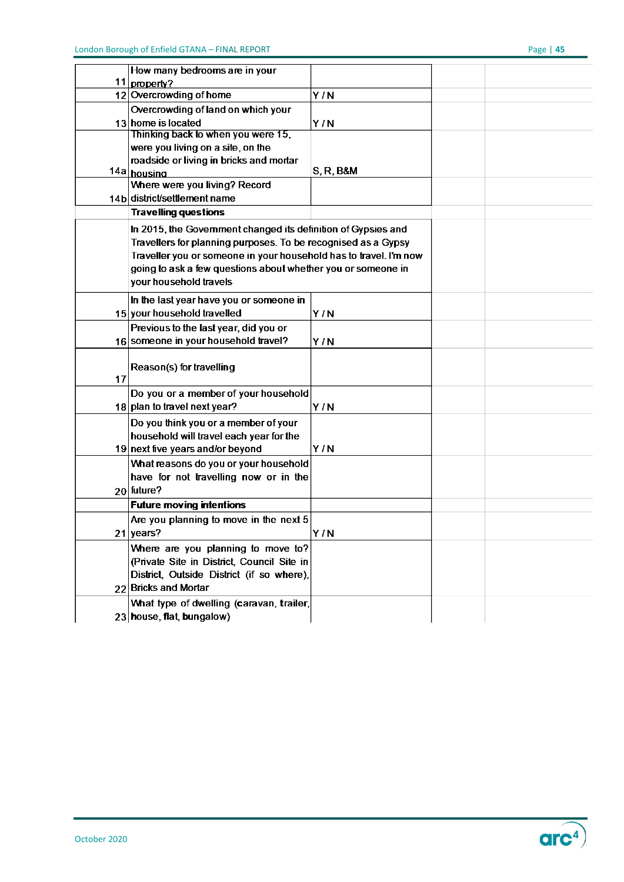|    | How many bedrooms are in your                                     |              |  |  |
|----|-------------------------------------------------------------------|--------------|--|--|
| 11 | property?                                                         |              |  |  |
|    | 12 Overcrowding of home                                           | Y/N          |  |  |
|    | Overcrowding of land on which your                                |              |  |  |
|    | 13 home is located                                                | Y/N          |  |  |
|    | Thinking back to when you were 15,                                |              |  |  |
|    | were you living on a site, on the                                 |              |  |  |
|    | roadside or living in bricks and mortar                           |              |  |  |
|    | 14a housing                                                       | $S, R, B$ &M |  |  |
|    | Where were you living? Record                                     |              |  |  |
|    | 14b district/settlement name                                      |              |  |  |
|    | <b>Travelling questions</b>                                       |              |  |  |
|    | In 2015, the Government changed its definition of Gypsies and     |              |  |  |
|    | Travellers for planning purposes. To be recognised as a Gypsy     |              |  |  |
|    | Traveller you or someone in your household has to travel. I'm now |              |  |  |
|    | going to ask a few questions about whether you or someone in      |              |  |  |
|    | your household travels                                            |              |  |  |
|    | In the last year have you or someone in                           |              |  |  |
|    | 15 your household travelled                                       | Y/N          |  |  |
|    | Previous to the last year, did you or                             |              |  |  |
|    | 16 someone in your household travel?                              | Y/N          |  |  |
|    |                                                                   |              |  |  |
|    | Reason(s) for travelling                                          |              |  |  |
| 17 |                                                                   |              |  |  |
|    | Do you or a member of your household                              |              |  |  |
|    | $18$ plan to travel next year?                                    | Y/N          |  |  |
|    | Do you think you or a member of your                              |              |  |  |
|    | household will travel each year for the                           |              |  |  |
|    | 19 next five years and/or beyond                                  | Y/N          |  |  |
|    | What reasons do you or your household                             |              |  |  |
|    | have for not travelling now or in the                             |              |  |  |
|    | 20 future?                                                        |              |  |  |
|    | <b>Future moving intentions</b>                                   |              |  |  |
|    | Are you planning to move in the next 5                            |              |  |  |
|    | $21$ years?                                                       | Y/N          |  |  |
|    | Where are you planning to move to?                                |              |  |  |
|    | (Private Site in District, Council Site in                        |              |  |  |
|    | District, Outside District (if so where),                         |              |  |  |
|    | 22 Bricks and Mortar                                              |              |  |  |
|    |                                                                   |              |  |  |
|    | What type of dwelling (caravan, trailer,                          |              |  |  |
|    | 23 house, flat, bungalow)                                         |              |  |  |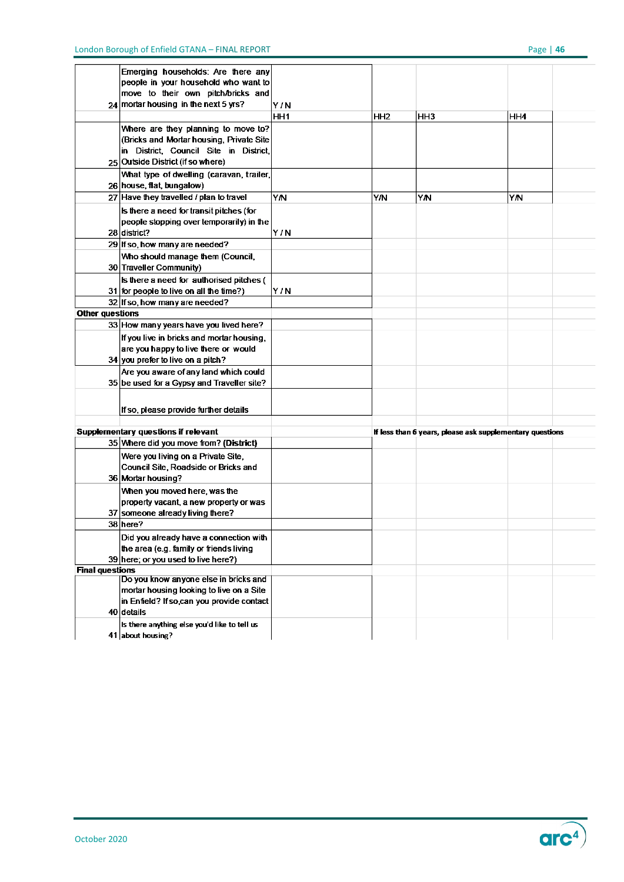|                                     | Emerging households: Are there any           |     |                                                          |     |     |  |
|-------------------------------------|----------------------------------------------|-----|----------------------------------------------------------|-----|-----|--|
|                                     | people in your household who want to         |     |                                                          |     |     |  |
|                                     | move to their own pitch/bricks and           |     |                                                          |     |     |  |
|                                     | $24$ mortar housing in the next 5 yrs?       | Y/N |                                                          |     |     |  |
|                                     |                                              | HH1 | HH <sub>2</sub>                                          | HH3 | HH4 |  |
|                                     | Where are they planning to move to?          |     |                                                          |     |     |  |
|                                     | (Bricks and Mortar housing, Private Site)    |     |                                                          |     |     |  |
|                                     | in District, Council Site in District,       |     |                                                          |     |     |  |
|                                     | 25 Outside District (if so where)            |     |                                                          |     |     |  |
|                                     | What type of dwelling (caravan, trailer,     |     |                                                          |     |     |  |
|                                     | 26 house, flat, bungalow)                    |     |                                                          |     |     |  |
|                                     | 27 Have they travelled / plan to travel      | YN  | Υ'N                                                      | YN  | YN  |  |
|                                     | Is there a need for transit pitches (for     |     |                                                          |     |     |  |
|                                     | people stopping over temporarily) in the     |     |                                                          |     |     |  |
|                                     | $28$ district?                               | Y/N |                                                          |     |     |  |
|                                     | 29 If so, how many are needed?               |     |                                                          |     |     |  |
|                                     | Who should manage them (Council,             |     |                                                          |     |     |  |
|                                     | 30 Traveller Community)                      |     |                                                          |     |     |  |
|                                     | Is there a need for authorised pitches (     |     |                                                          |     |     |  |
|                                     | 31 for people to live on all the time?)      | Y/N |                                                          |     |     |  |
|                                     | 32 If so, how many are needed?               |     |                                                          |     |     |  |
| <b>Other questions</b>              |                                              |     |                                                          |     |     |  |
|                                     | 33 How many years have you lived here?       |     |                                                          |     |     |  |
|                                     | If you live in bricks and mortar housing.    |     |                                                          |     |     |  |
|                                     | are you happy to live there or would         |     |                                                          |     |     |  |
|                                     | 34 you prefer to live on a pitch?            |     |                                                          |     |     |  |
|                                     | Are you aware of any land which could        |     |                                                          |     |     |  |
|                                     | 35 be used for a Gypsy and Traveller site?   |     |                                                          |     |     |  |
|                                     |                                              |     |                                                          |     |     |  |
|                                     | If so, please provide further details        |     |                                                          |     |     |  |
|                                     |                                              |     |                                                          |     |     |  |
| Supplementary questions if relevant |                                              |     | If less than 6 years, please ask supplementary questions |     |     |  |
|                                     | 35 Where did you move from? (District)       |     |                                                          |     |     |  |
|                                     | Were you living on a Private Site,           |     |                                                          |     |     |  |
|                                     | Council Site, Roadside or Bricks and         |     |                                                          |     |     |  |
|                                     | 36 Mortar housing?                           |     |                                                          |     |     |  |
|                                     | When you moved here, was the                 |     |                                                          |     |     |  |
|                                     | property vacant, a new property or was       |     |                                                          |     |     |  |
|                                     | 37 someone already living there?             |     |                                                          |     |     |  |
|                                     | 38 here?                                     |     |                                                          |     |     |  |
|                                     | Did you already have a connection with       |     |                                                          |     |     |  |
|                                     | the area (e.g. family or friends living      |     |                                                          |     |     |  |
|                                     | 39 here; or you used to live here?)          |     |                                                          |     |     |  |
| <b>Final questions</b>              |                                              |     |                                                          |     |     |  |
|                                     | Do you know anyone else in bricks and        |     |                                                          |     |     |  |
|                                     | mortar housing looking to live on a Site     |     |                                                          |     |     |  |
|                                     | in Enfield? If so can you provide contact    |     |                                                          |     |     |  |
|                                     | 40 details                                   |     |                                                          |     |     |  |
|                                     | Is there anything else you'd like to tell us |     |                                                          |     |     |  |
|                                     | 41 about housing?                            |     |                                                          |     |     |  |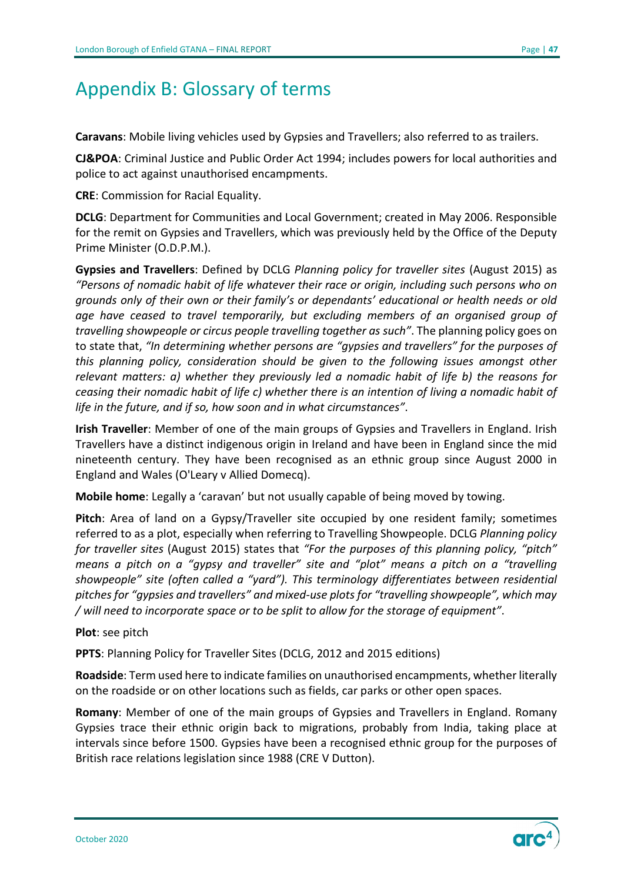# <span id="page-46-0"></span>Appendix B: Glossary of terms

**Caravans**: Mobile living vehicles used by Gypsies and Travellers; also referred to as trailers.

**CJ&POA**: Criminal Justice and Public Order Act 1994; includes powers for local authorities and police to act against unauthorised encampments.

**CRE**: Commission for Racial Equality.

**DCLG**: Department for Communities and Local Government; created in May 2006. Responsible for the remit on Gypsies and Travellers, which was previously held by the Office of the Deputy Prime Minister (O.D.P.M.).

**Gypsies and Travellers**: Defined by DCLG *Planning policy for traveller sites* (August 2015) as *"Persons of nomadic habit of life whatever their race or origin, including such persons who on grounds only of their own or their family's or dependants' educational or health needs or old age have ceased to travel temporarily, but excluding members of an organised group of travelling showpeople or circus people travelling together as such"*. The planning policy goes on to state that, *"In determining whether persons are "gypsies and travellers" for the purposes of this planning policy, consideration should be given to the following issues amongst other relevant matters: a) whether they previously led a nomadic habit of life b) the reasons for ceasing their nomadic habit of life c) whether there is an intention of living a nomadic habit of life in the future, and if so, how soon and in what circumstances"*.

**Irish Traveller**: Member of one of the main groups of Gypsies and Travellers in England. Irish Travellers have a distinct indigenous origin in Ireland and have been in England since the mid nineteenth century. They have been recognised as an ethnic group since August 2000 in England and Wales (O'Leary v Allied Domecq).

**Mobile home**: Legally a 'caravan' but not usually capable of being moved by towing.

**Pitch**: Area of land on a Gypsy/Traveller site occupied by one resident family; sometimes referred to as a plot, especially when referring to Travelling Showpeople. DCLG *Planning policy for traveller sites* (August 2015) states that *"For the purposes of this planning policy, "pitch" means a pitch on a "gypsy and traveller" site and "plot" means a pitch on a "travelling showpeople" site (often called a "yard"). This terminology differentiates between residential pitches for "gypsies and travellers" and mixed-use plots for "travelling showpeople", which may / will need to incorporate space or to be split to allow for the storage of equipment"*.

**Plot**: see pitch

**PPTS**: Planning Policy for Traveller Sites (DCLG, 2012 and 2015 editions)

**Roadside**: Term used here to indicate families on unauthorised encampments, whether literally on the roadside or on other locations such as fields, car parks or other open spaces.

**Romany**: Member of one of the main groups of Gypsies and Travellers in England. Romany Gypsies trace their ethnic origin back to migrations, probably from India, taking place at intervals since before 1500. Gypsies have been a recognised ethnic group for the purposes of British race relations legislation since 1988 (CRE V Dutton).